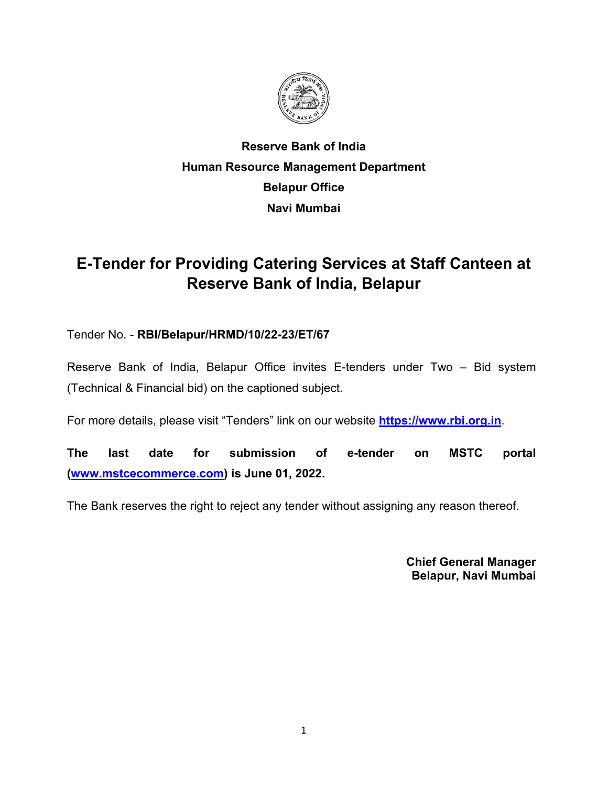

# **Reserve Bank of India Human Resource Management Department Belapur Office Navi Mumbai**

# **E-Tender for Providing Catering Services at Staff Canteen at Reserve Bank of India, Belapur**

## Tender No. - **RBI/Belapur/HRMD/10/22-23/ET/67**

Reserve Bank of India, Belapur Office invites E-tenders under Two – Bid system (Technical & Financial bid) on the captioned subject.

For more details, please visit "Tenders" link on our website **[https://www.rbi.org.in](https://www.rbi.org.in/)**.

**The last date for submission of e-tender on MSTC portal [\(www.mstcecommerce.com\)](https://www.mstcecommerce.com/) is June 01, 2022.** 

The Bank reserves the right to reject any tender without assigning any reason thereof.

**Chief General Manager Belapur, Navi Mumbai**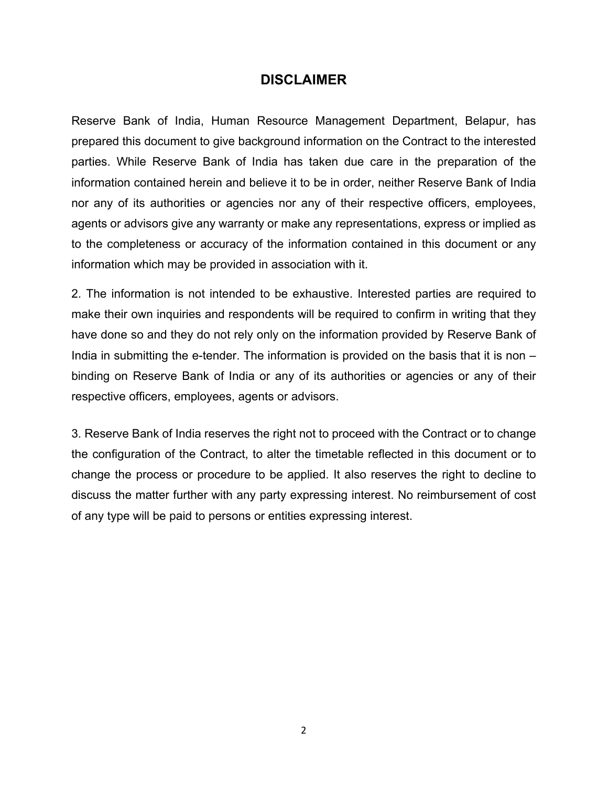### **DISCLAIMER**

Reserve Bank of India, Human Resource Management Department, Belapur, has prepared this document to give background information on the Contract to the interested parties. While Reserve Bank of India has taken due care in the preparation of the information contained herein and believe it to be in order, neither Reserve Bank of India nor any of its authorities or agencies nor any of their respective officers, employees, agents or advisors give any warranty or make any representations, express or implied as to the completeness or accuracy of the information contained in this document or any information which may be provided in association with it.

2. The information is not intended to be exhaustive. Interested parties are required to make their own inquiries and respondents will be required to confirm in writing that they have done so and they do not rely only on the information provided by Reserve Bank of India in submitting the e-tender. The information is provided on the basis that it is non – binding on Reserve Bank of India or any of its authorities or agencies or any of their respective officers, employees, agents or advisors.

3. Reserve Bank of India reserves the right not to proceed with the Contract or to change the configuration of the Contract, to alter the timetable reflected in this document or to change the process or procedure to be applied. It also reserves the right to decline to discuss the matter further with any party expressing interest. No reimbursement of cost of any type will be paid to persons or entities expressing interest.

2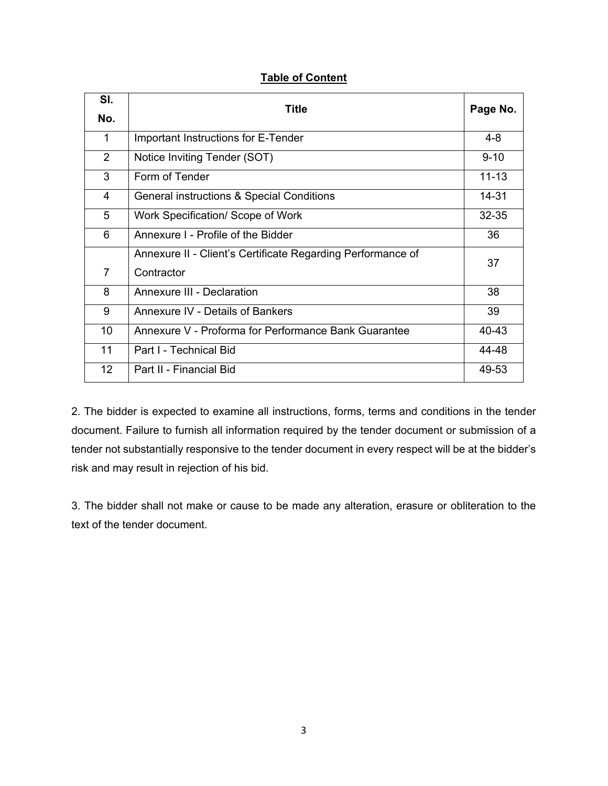|  | <b>Table of Content</b> |
|--|-------------------------|
|  |                         |

| SI.            | Title                                                       |           |  |  |
|----------------|-------------------------------------------------------------|-----------|--|--|
| No.            | Page No.                                                    |           |  |  |
| 1              | Important Instructions for E-Tender                         | $4 - 8$   |  |  |
| $\overline{2}$ | Notice Inviting Tender (SOT)                                | $9 - 10$  |  |  |
| 3              | Form of Tender                                              | $11 - 13$ |  |  |
| 4              | General instructions & Special Conditions                   | 14-31     |  |  |
| 5              | Work Specification/ Scope of Work                           | 32-35     |  |  |
| 6              | Annexure I - Profile of the Bidder                          | 36        |  |  |
|                | Annexure II - Client's Certificate Regarding Performance of | 37        |  |  |
| $\overline{7}$ | Contractor                                                  |           |  |  |
| 8              | <b>Annexure III - Declaration</b>                           | 38        |  |  |
| 9              | <b>Annexure IV - Details of Bankers</b>                     | 39        |  |  |
| 10             | Annexure V - Proforma for Performance Bank Guarantee        | 40-43     |  |  |
| 11             | Part I - Technical Bid                                      | 44-48     |  |  |
| 12             | Part II - Financial Bid                                     | 49-53     |  |  |

2. The bidder is expected to examine all instructions, forms, terms and conditions in the tender document. Failure to furnish all information required by the tender document or submission of a tender not substantially responsive to the tender document in every respect will be at the bidder's risk and may result in rejection of his bid.

3. The bidder shall not make or cause to be made any alteration, erasure or obliteration to the text of the tender document.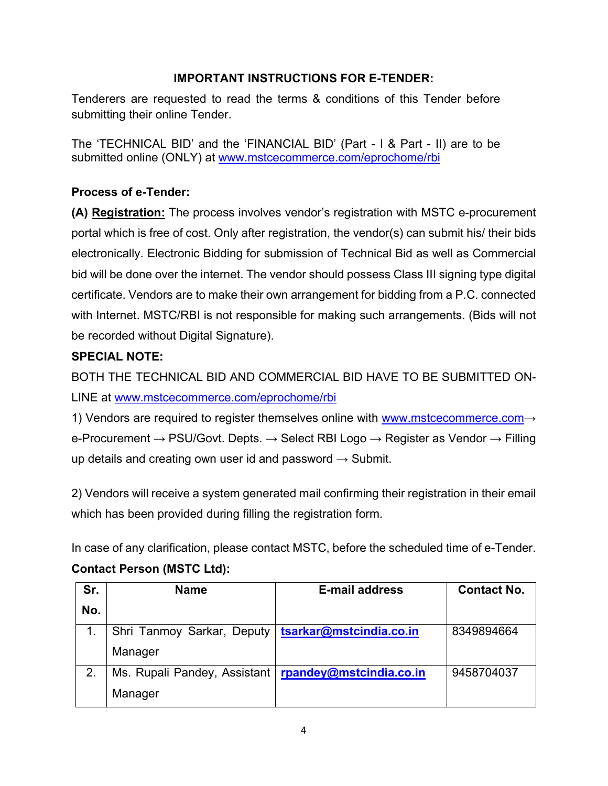## **IMPORTANT INSTRUCTIONS FOR E-TENDER:**

Tenderers are requested to read the terms & conditions of this Tender before submitting their online Tender.

The 'TECHNICAL BID' and the 'FINANCIAL BID' (Part - I & Part - II) are to be submitted online (ONLY) at [www.mstcecommerce.com/eprochome/rbi](https://www.mstcecommerce.com/eprochome/rbi/)

## **Process of e-Tender:**

**(A) Registration:** The process involves vendor's registration with MSTC e-procurement portal which is free of cost. Only after registration, the vendor(s) can submit his/ their bids electronically. Electronic Bidding for submission of Technical Bid as well as Commercial bid will be done over the internet. The vendor should possess Class III signing type digital certificate. Vendors are to make their own arrangement for bidding from a P.C. connected with Internet. MSTC/RBI is not responsible for making such arrangements. (Bids will not be recorded without Digital Signature).

## **SPECIAL NOTE:**

BOTH THE TECHNICAL BID AND COMMERCIAL BID HAVE TO BE SUBMITTED ON-LINE at [www.mstcecommerce.com/eprochome/rbi](https://www.mstcecommerce.com/eprochome/rbi/)

1) Vendors are required to register themselves online with [www.mstcecommerce.com](https://www.mstcecommerce.com/)→ e-Procurement → PSU/Govt. Depts. → Select RBI Logo → Register as Vendor → Filling up details and creating own user id and password  $\rightarrow$  Submit.

2) Vendors will receive a system generated mail confirming their registration in their email which has been provided during filling the registration form.

In case of any clarification, please contact MSTC, before the scheduled time of e-Tender. **Contact Person (MSTC Ltd):**

| Sr. | <b>Name</b>                  | <b>E-mail address</b>   | <b>Contact No.</b> |
|-----|------------------------------|-------------------------|--------------------|
| No. |                              |                         |                    |
|     | Shri Tanmoy Sarkar, Deputy   | tsarkar@mstcindia.co.in | 8349894664         |
|     | Manager                      |                         |                    |
| 2.  | Ms. Rupali Pandey, Assistant | rpandey@mstcindia.co.in | 9458704037         |
|     | Manager                      |                         |                    |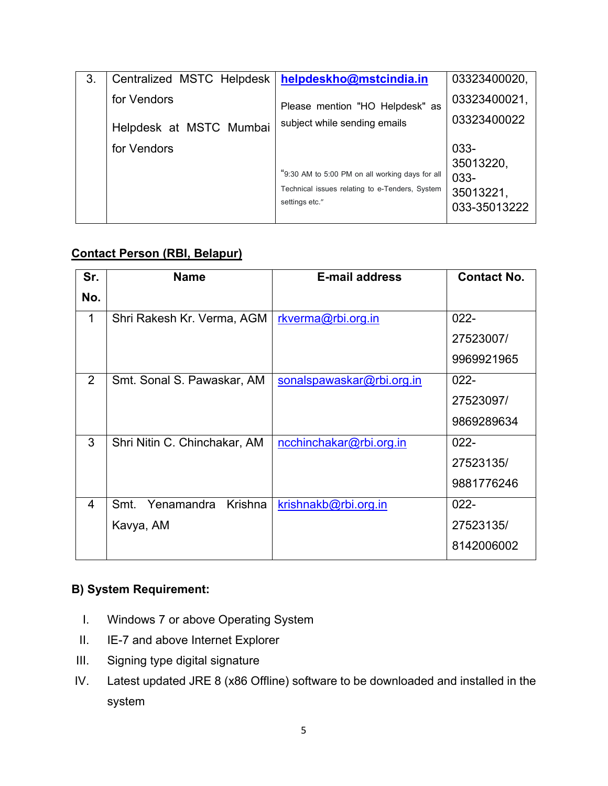| 3. | Centralized MSTC Helpdesk | helpdeskho@mstcindia.in                                                                                             | 03323400020,                                           |
|----|---------------------------|---------------------------------------------------------------------------------------------------------------------|--------------------------------------------------------|
|    | for Vendors               | Please mention "HO Helpdesk" as                                                                                     | 03323400021,                                           |
|    | Helpdesk at MSTC Mumbai   | subject while sending emails                                                                                        | 03323400022                                            |
|    | for Vendors               | "9:30 AM to 5:00 PM on all working days for all<br>Technical issues relating to e-Tenders, System<br>settings etc." | 033-<br>35013220,<br>033-<br>35013221,<br>033-35013222 |

## **Contact Person (RBI, Belapur)**

| Sr. | <b>Name</b>                   | <b>E-mail address</b>     | <b>Contact No.</b> |
|-----|-------------------------------|---------------------------|--------------------|
| No. |                               |                           |                    |
| 1   | Shri Rakesh Kr. Verma, AGM    | rkverma@rbi.org.in        | $022 -$            |
|     |                               |                           | 27523007/          |
|     |                               |                           | 9969921965         |
| 2   | Smt. Sonal S. Pawaskar, AM    | sonalspawaskar@rbi.org.in | $022 -$            |
|     |                               |                           | 27523097/          |
|     |                               |                           | 9869289634         |
| 3   | Shri Nitin C. Chinchakar, AM  | ncchinchakar@rbi.org.in   | $022 -$            |
|     |                               |                           | 27523135/          |
|     |                               |                           | 9881776246         |
| 4   | Yenamandra<br>Krishna<br>Smt. | krishnakb@rbi.org.in      | $022 -$            |
|     | Kavya, AM                     |                           | 27523135/          |
|     |                               |                           | 8142006002         |

## **B) System Requirement:**

- I. Windows 7 or above Operating System
- II. IE-7 and above Internet Explorer
- III. Signing type digital signature
- IV. Latest updated JRE 8 (x86 Offline) software to be downloaded and installed in the system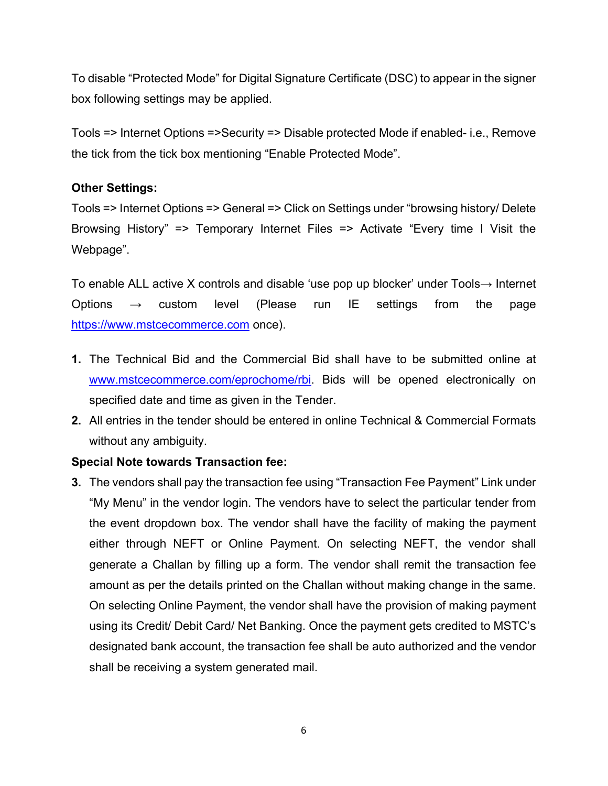To disable "Protected Mode" for Digital Signature Certificate (DSC) to appear in the signer box following settings may be applied.

Tools => Internet Options =>Security => Disable protected Mode if enabled- i.e., Remove the tick from the tick box mentioning "Enable Protected Mode".

### **Other Settings:**

Tools => Internet Options => General => Click on Settings under "browsing history/ Delete Browsing History" => Temporary Internet Files => Activate "Every time I Visit the Webpage".

To enable ALL active X controls and disable 'use pop up blocker' under Tools→ Internet Options → custom level (Please run IE settings from the page [https://www.mstcecommerce.com](https://www.mstcecommerce.com/) once).

- **1.** The Technical Bid and the Commercial Bid shall have to be submitted online at [www.mstcecommerce.com/eprochome/rbi.](https://www.mstcecommerce.com/eprochome/rbi/) Bids will be opened electronically on specified date and time as given in the Tender.
- **2.** All entries in the tender should be entered in online Technical & Commercial Formats without any ambiguity.

## **Special Note towards Transaction fee:**

**3.** The vendors shall pay the transaction fee using "Transaction Fee Payment" Link under "My Menu" in the vendor login. The vendors have to select the particular tender from the event dropdown box. The vendor shall have the facility of making the payment either through NEFT or Online Payment. On selecting NEFT, the vendor shall generate a Challan by filling up a form. The vendor shall remit the transaction fee amount as per the details printed on the Challan without making change in the same. On selecting Online Payment, the vendor shall have the provision of making payment using its Credit/ Debit Card/ Net Banking. Once the payment gets credited to MSTC's designated bank account, the transaction fee shall be auto authorized and the vendor shall be receiving a system generated mail.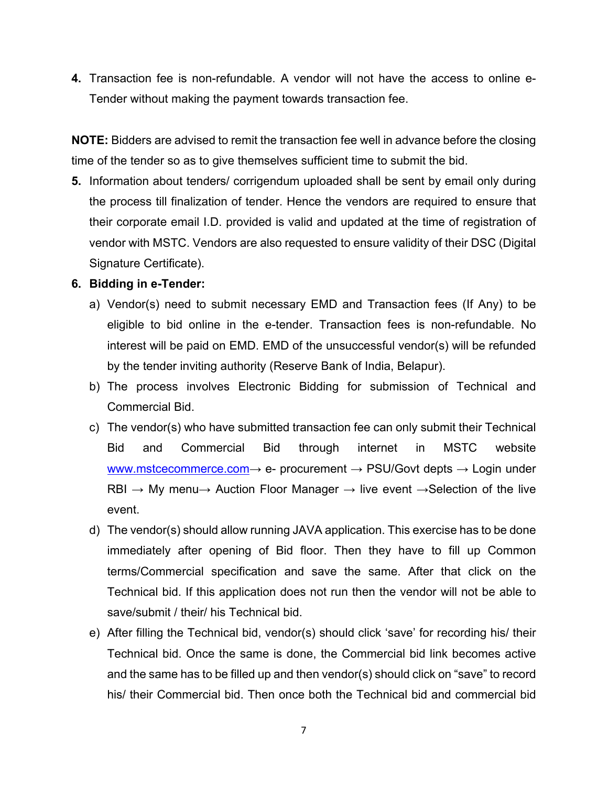**4.** Transaction fee is non-refundable. A vendor will not have the access to online e-Tender without making the payment towards transaction fee.

**NOTE:** Bidders are advised to remit the transaction fee well in advance before the closing time of the tender so as to give themselves sufficient time to submit the bid.

**5.** Information about tenders/ corrigendum uploaded shall be sent by email only during the process till finalization of tender. Hence the vendors are required to ensure that their corporate email I.D. provided is valid and updated at the time of registration of vendor with MSTC. Vendors are also requested to ensure validity of their DSC (Digital Signature Certificate).

### **6. Bidding in e-Tender:**

- a) Vendor(s) need to submit necessary EMD and Transaction fees (If Any) to be eligible to bid online in the e-tender. Transaction fees is non-refundable. No interest will be paid on EMD. EMD of the unsuccessful vendor(s) will be refunded by the tender inviting authority (Reserve Bank of India, Belapur).
- b) The process involves Electronic Bidding for submission of Technical and Commercial Bid.
- c) The vendor(s) who have submitted transaction fee can only submit their Technical Bid and Commercial Bid through internet in MSTC website [www.mstcecommerce.com](https://www.mstcecommerce.com/)  $\rightarrow$  e- procurement  $\rightarrow$  PSU/Govt depts  $\rightarrow$  Login under RBI  $\rightarrow$  My menu $\rightarrow$  Auction Floor Manager  $\rightarrow$  live event  $\rightarrow$  Selection of the live event.
- d) The vendor(s) should allow running JAVA application. This exercise has to be done immediately after opening of Bid floor. Then they have to fill up Common terms/Commercial specification and save the same. After that click on the Technical bid. If this application does not run then the vendor will not be able to save/submit / their/ his Technical bid.
- e) After filling the Technical bid, vendor(s) should click 'save' for recording his/ their Technical bid. Once the same is done, the Commercial bid link becomes active and the same has to be filled up and then vendor(s) should click on "save" to record his/ their Commercial bid. Then once both the Technical bid and commercial bid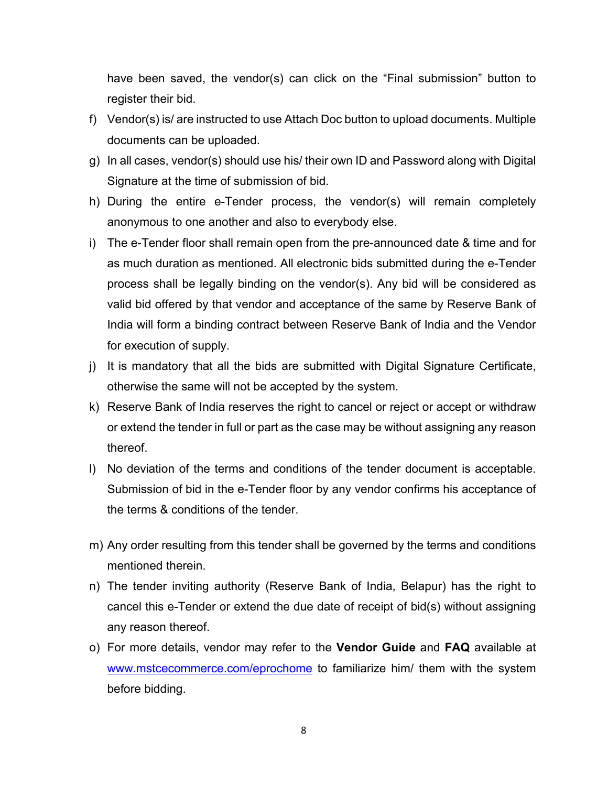have been saved, the vendor(s) can click on the "Final submission" button to register their bid.

- f) Vendor(s) is/ are instructed to use Attach Doc button to upload documents. Multiple documents can be uploaded.
- g) In all cases, vendor(s) should use his/ their own ID and Password along with Digital Signature at the time of submission of bid.
- h) During the entire e-Tender process, the vendor(s) will remain completely anonymous to one another and also to everybody else.
- i) The e-Tender floor shall remain open from the pre-announced date & time and for as much duration as mentioned. All electronic bids submitted during the e-Tender process shall be legally binding on the vendor(s). Any bid will be considered as valid bid offered by that vendor and acceptance of the same by Reserve Bank of India will form a binding contract between Reserve Bank of India and the Vendor for execution of supply.
- j) It is mandatory that all the bids are submitted with Digital Signature Certificate, otherwise the same will not be accepted by the system.
- k) Reserve Bank of India reserves the right to cancel or reject or accept or withdraw or extend the tender in full or part as the case may be without assigning any reason thereof.
- l) No deviation of the terms and conditions of the tender document is acceptable. Submission of bid in the e-Tender floor by any vendor confirms his acceptance of the terms & conditions of the tender.
- m) Any order resulting from this tender shall be governed by the terms and conditions mentioned therein
- n) The tender inviting authority (Reserve Bank of India, Belapur) has the right to cancel this e-Tender or extend the due date of receipt of bid(s) without assigning any reason thereof.
- o) For more details, vendor may refer to the **Vendor Guide** and **FAQ** available at [www.mstcecommerce.com/eprochome](https://www.mstcecommerce.com/eprochome) to familiarize him/ them with the system before bidding.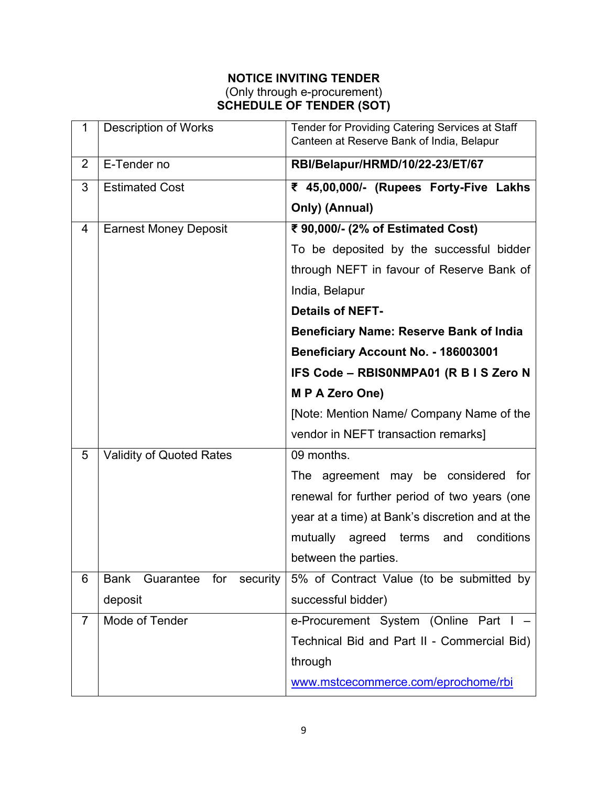### **NOTICE INVITING TENDER** (Only through e-procurement) **SCHEDULE OF TENDER (SOT)**

| $\mathbf{1}$   | <b>Description of Works</b>                 | Tender for Providing Catering Services at Staff<br>Canteen at Reserve Bank of India, Belapur |
|----------------|---------------------------------------------|----------------------------------------------------------------------------------------------|
| 2              | E-Tender no                                 | RBI/Belapur/HRMD/10/22-23/ET/67                                                              |
| 3              | <b>Estimated Cost</b>                       | ₹ 45,00,000/- (Rupees Forty-Five Lakhs                                                       |
|                |                                             | Only) (Annual)                                                                               |
| 4              | <b>Earnest Money Deposit</b>                | ₹ 90,000/- (2% of Estimated Cost)                                                            |
|                |                                             | To be deposited by the successful bidder                                                     |
|                |                                             | through NEFT in favour of Reserve Bank of                                                    |
|                |                                             | India, Belapur                                                                               |
|                |                                             | <b>Details of NEFT-</b>                                                                      |
|                |                                             | <b>Beneficiary Name: Reserve Bank of India</b>                                               |
|                |                                             | Beneficiary Account No. - 186003001                                                          |
|                |                                             | IFS Code - RBISONMPA01 (R B I S Zero N                                                       |
|                |                                             | M P A Zero One)                                                                              |
|                |                                             | [Note: Mention Name/ Company Name of the                                                     |
|                |                                             | vendor in NEFT transaction remarks]                                                          |
| 5              | <b>Validity of Quoted Rates</b>             | 09 months.                                                                                   |
|                |                                             | The agreement may be considered for                                                          |
|                |                                             | renewal for further period of two years (one                                                 |
|                |                                             | year at a time) at Bank's discretion and at the                                              |
|                |                                             | mutually<br>conditions<br>agreed<br>terms<br>and                                             |
|                |                                             | between the parties.                                                                         |
| 6              | <b>Bank</b><br>Guarantee<br>for<br>security | 5% of Contract Value (to be submitted by                                                     |
|                | deposit                                     | successful bidder)                                                                           |
| $\overline{7}$ | Mode of Tender                              | e-Procurement System (Online Part                                                            |
|                |                                             | Technical Bid and Part II - Commercial Bid)                                                  |
|                |                                             | through                                                                                      |
|                |                                             | www.mstcecommerce.com/eprochome/rbi                                                          |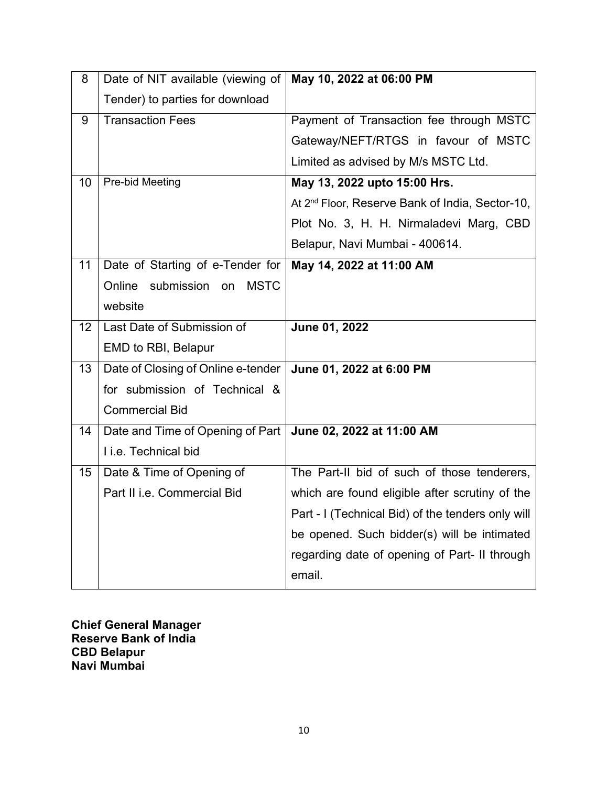| 8               | Date of NIT available (viewing of         | May 10, 2022 at 06:00 PM                                    |
|-----------------|-------------------------------------------|-------------------------------------------------------------|
|                 | Tender) to parties for download           |                                                             |
| 9               | <b>Transaction Fees</b>                   | Payment of Transaction fee through MSTC                     |
|                 |                                           | Gateway/NEFT/RTGS in favour of MSTC                         |
|                 |                                           | Limited as advised by M/s MSTC Ltd.                         |
| 10              | Pre-bid Meeting                           | May 13, 2022 upto 15:00 Hrs.                                |
|                 |                                           | At 2 <sup>nd</sup> Floor, Reserve Bank of India, Sector-10, |
|                 |                                           | Plot No. 3, H. H. Nirmaladevi Marg, CBD                     |
|                 |                                           | Belapur, Navi Mumbai - 400614.                              |
| 11              | Date of Starting of e-Tender for          | May 14, 2022 at 11:00 AM                                    |
|                 | submission<br>Online<br><b>MSTC</b><br>on |                                                             |
|                 | website                                   |                                                             |
| 12 <sup>2</sup> | Last Date of Submission of                | June 01, 2022                                               |
|                 | EMD to RBI, Belapur                       |                                                             |
| 13              | Date of Closing of Online e-tender        | June 01, 2022 at 6:00 PM                                    |
|                 | for submission of Technical &             |                                                             |
|                 | <b>Commercial Bid</b>                     |                                                             |
| 14              | Date and Time of Opening of Part          | June 02, 2022 at 11:00 AM                                   |
|                 | I i.e. Technical bid                      |                                                             |
| 15              | Date & Time of Opening of                 | The Part-II bid of such of those tenderers,                 |
|                 | Part II i.e. Commercial Bid               | which are found eligible after scrutiny of the              |
|                 |                                           | Part - I (Technical Bid) of the tenders only will           |
|                 |                                           | be opened. Such bidder(s) will be intimated                 |
|                 |                                           | regarding date of opening of Part- II through               |
|                 |                                           | email.                                                      |

**Chief General Manager Reserve Bank of India CBD Belapur Navi Mumbai**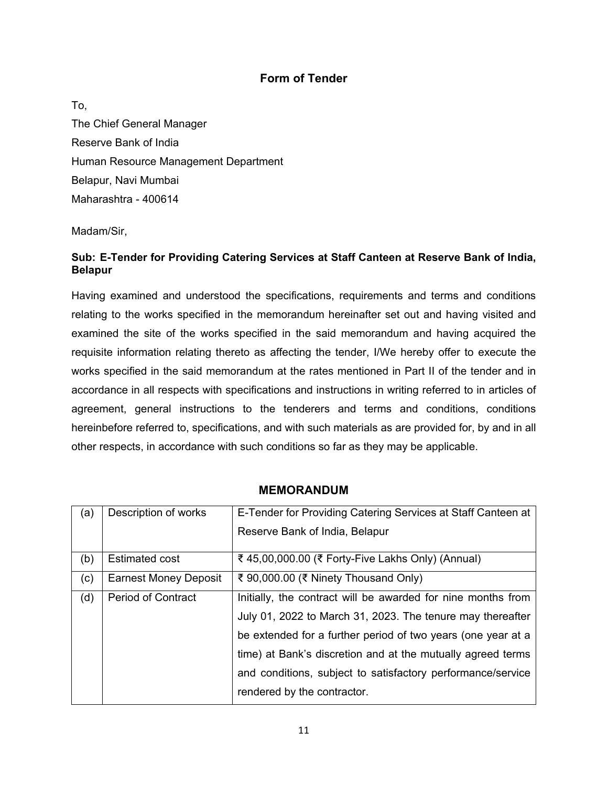### **Form of Tender**

To, The Chief General Manager Reserve Bank of India Human Resource Management Department Belapur, Navi Mumbai Maharashtra - 400614

Madam/Sir,

### **Sub: E-Tender for Providing Catering Services at Staff Canteen at Reserve Bank of India, Belapur**

Having examined and understood the specifications, requirements and terms and conditions relating to the works specified in the memorandum hereinafter set out and having visited and examined the site of the works specified in the said memorandum and having acquired the requisite information relating thereto as affecting the tender, I/We hereby offer to execute the works specified in the said memorandum at the rates mentioned in Part II of the tender and in accordance in all respects with specifications and instructions in writing referred to in articles of agreement, general instructions to the tenderers and terms and conditions, conditions hereinbefore referred to, specifications, and with such materials as are provided for, by and in all other respects, in accordance with such conditions so far as they may be applicable.

| (a) | Description of works         | E-Tender for Providing Catering Services at Staff Canteen at |
|-----|------------------------------|--------------------------------------------------------------|
|     |                              | Reserve Bank of India, Belapur                               |
| (b) | <b>Estimated cost</b>        | ₹ 45,00,000.00 (₹ Forty-Five Lakhs Only) (Annual)            |
| (c) | <b>Earnest Money Deposit</b> | ₹ 90,000.00 (₹ Ninety Thousand Only)                         |
| (d) | <b>Period of Contract</b>    | Initially, the contract will be awarded for nine months from |
|     |                              | July 01, 2022 to March 31, 2023. The tenure may thereafter   |
|     |                              | be extended for a further period of two years (one year at a |
|     |                              | time) at Bank's discretion and at the mutually agreed terms  |
|     |                              | and conditions, subject to satisfactory performance/service  |
|     |                              | rendered by the contractor.                                  |

#### **MEMORANDUM**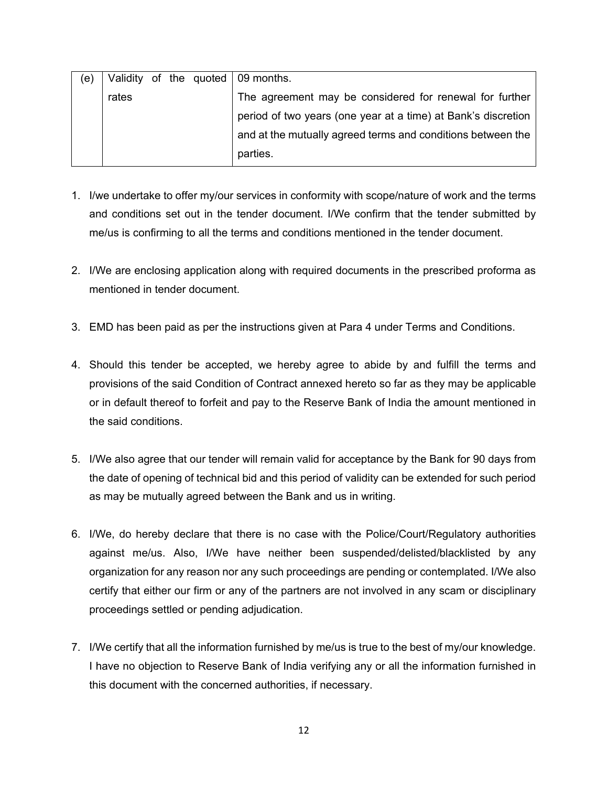| (e) |       |  | Validity of the quoted $\sqrt{0.09}$ months.                  |
|-----|-------|--|---------------------------------------------------------------|
|     | rates |  | The agreement may be considered for renewal for further       |
|     |       |  | period of two years (one year at a time) at Bank's discretion |
|     |       |  | and at the mutually agreed terms and conditions between the   |
|     |       |  | parties.                                                      |

- 1. I/we undertake to offer my/our services in conformity with scope/nature of work and the terms and conditions set out in the tender document. I/We confirm that the tender submitted by me/us is confirming to all the terms and conditions mentioned in the tender document.
- 2. I/We are enclosing application along with required documents in the prescribed proforma as mentioned in tender document.
- 3. EMD has been paid as per the instructions given at Para 4 under Terms and Conditions.
- 4. Should this tender be accepted, we hereby agree to abide by and fulfill the terms and provisions of the said Condition of Contract annexed hereto so far as they may be applicable or in default thereof to forfeit and pay to the Reserve Bank of India the amount mentioned in the said conditions.
- 5. I/We also agree that our tender will remain valid for acceptance by the Bank for 90 days from the date of opening of technical bid and this period of validity can be extended for such period as may be mutually agreed between the Bank and us in writing.
- 6. I/We, do hereby declare that there is no case with the Police/Court/Regulatory authorities against me/us. Also, I/We have neither been suspended/delisted/blacklisted by any organization for any reason nor any such proceedings are pending or contemplated. I/We also certify that either our firm or any of the partners are not involved in any scam or disciplinary proceedings settled or pending adjudication.
- 7. I/We certify that all the information furnished by me/us is true to the best of my/our knowledge. I have no objection to Reserve Bank of India verifying any or all the information furnished in this document with the concerned authorities, if necessary.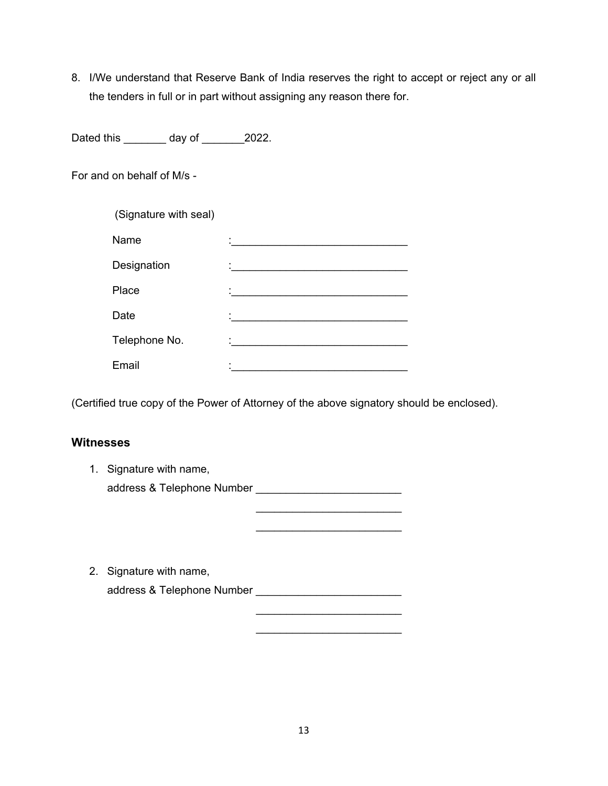8. I/We understand that Reserve Bank of India reserves the right to accept or reject any or all the tenders in full or in part without assigning any reason there for.

Dated this \_\_\_\_\_\_\_ day of \_\_\_\_\_\_\_2022.

For and on behalf of M/s -

| (Signature with seal) |                                                    |
|-----------------------|----------------------------------------------------|
| Name                  |                                                    |
| Designation           | <u> 1989 - John Stein, Amerikaansk politiker (</u> |
| Place                 |                                                    |
| Date                  |                                                    |
| Telephone No.         |                                                    |
| Email                 |                                                    |

(Certified true copy of the Power of Attorney of the above signatory should be enclosed).

### **Witnesses**

| 1. | Signature with name,       |  |
|----|----------------------------|--|
|    | address & Telephone Number |  |
|    |                            |  |
|    |                            |  |
|    |                            |  |
|    |                            |  |
|    | 2. Signature with name,    |  |
|    | address & Telephone Number |  |
|    |                            |  |
|    |                            |  |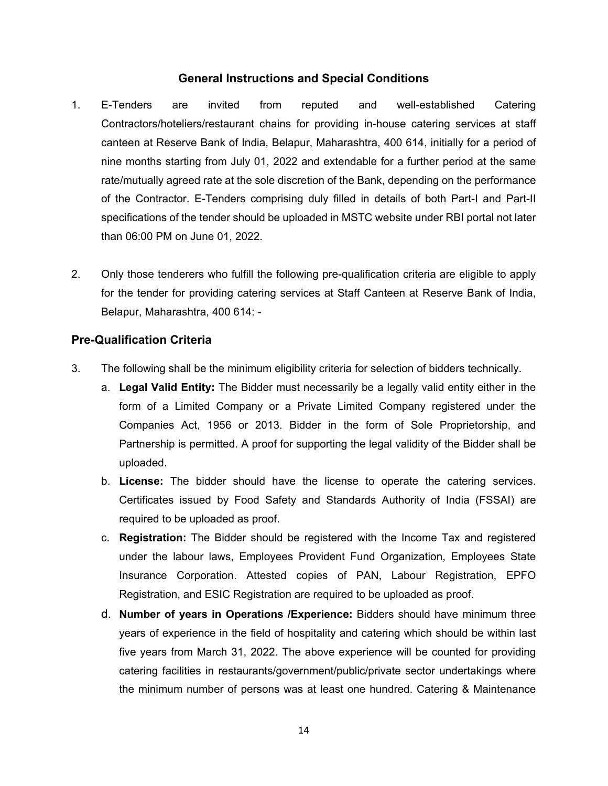### **General Instructions and Special Conditions**

- 1. E-Tenders are invited from reputed and well-established Catering Contractors/hoteliers/restaurant chains for providing in-house catering services at staff canteen at Reserve Bank of India, Belapur, Maharashtra, 400 614, initially for a period of nine months starting from July 01, 2022 and extendable for a further period at the same rate/mutually agreed rate at the sole discretion of the Bank, depending on the performance of the Contractor. E-Tenders comprising duly filled in details of both Part-I and Part-II specifications of the tender should be uploaded in MSTC website under RBI portal not later than 06:00 PM on June 01, 2022.
- 2. Only those tenderers who fulfill the following pre-qualification criteria are eligible to apply for the tender for providing catering services at Staff Canteen at Reserve Bank of India, Belapur, Maharashtra, 400 614: -

### **Pre-Qualification Criteria**

- 3. The following shall be the minimum eligibility criteria for selection of bidders technically.
	- a. **Legal Valid Entity:** The Bidder must necessarily be a legally valid entity either in the form of a Limited Company or a Private Limited Company registered under the Companies Act, 1956 or 2013. Bidder in the form of Sole Proprietorship, and Partnership is permitted. A proof for supporting the legal validity of the Bidder shall be uploaded.
	- b. **License:** The bidder should have the license to operate the catering services. Certificates issued by Food Safety and Standards Authority of India (FSSAI) are required to be uploaded as proof.
	- c. **Registration:** The Bidder should be registered with the Income Tax and registered under the labour laws, Employees Provident Fund Organization, Employees State Insurance Corporation. Attested copies of PAN, Labour Registration, EPFO Registration, and ESIC Registration are required to be uploaded as proof.
	- d. **Number of years in Operations /Experience:** Bidders should have minimum three years of experience in the field of hospitality and catering which should be within last five years from March 31, 2022. The above experience will be counted for providing catering facilities in restaurants/government/public/private sector undertakings where the minimum number of persons was at least one hundred. Catering & Maintenance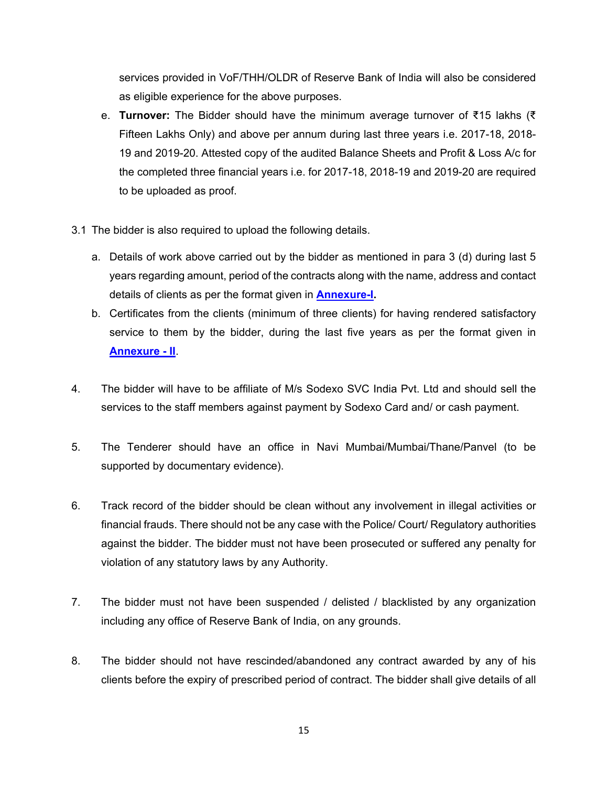services provided in VoF/THH/OLDR of Reserve Bank of India will also be considered as eligible experience for the above purposes.

- e. **Turnover:** The Bidder should have the minimum average turnover of ₹15 lakhs (₹ Fifteen Lakhs Only) and above per annum during last three years i.e. 2017-18, 2018- 19 and 2019-20. Attested copy of the audited Balance Sheets and Profit & Loss A/c for the completed three financial years i.e. for 2017-18, 2018-19 and 2019-20 are required to be uploaded as proof.
- 3.1 The bidder is also required to upload the following details.
	- a. Details of work above carried out by the bidder as mentioned in para 3 (d) during last 5 years regarding amount, period of the contracts along with the name, address and contact details of clients as per the format given in **[Annexure-I.](#page-35-0)**
	- b. Certificates from the clients (minimum of three clients) for having rendered satisfactory service to them by the bidder, during the last five years as per the format given in **[Annexure - II](#page-36-0)**.
- 4. The bidder will have to be affiliate of M/s Sodexo SVC India Pvt. Ltd and should sell the services to the staff members against payment by Sodexo Card and/ or cash payment.
- 5. The Tenderer should have an office in Navi Mumbai/Mumbai/Thane/Panvel (to be supported by documentary evidence).
- 6. Track record of the bidder should be clean without any involvement in illegal activities or financial frauds. There should not be any case with the Police/ Court/ Regulatory authorities against the bidder. The bidder must not have been prosecuted or suffered any penalty for violation of any statutory laws by any Authority.
- 7. The bidder must not have been suspended / delisted / blacklisted by any organization including any office of Reserve Bank of India, on any grounds.
- 8. The bidder should not have rescinded/abandoned any contract awarded by any of his clients before the expiry of prescribed period of contract. The bidder shall give details of all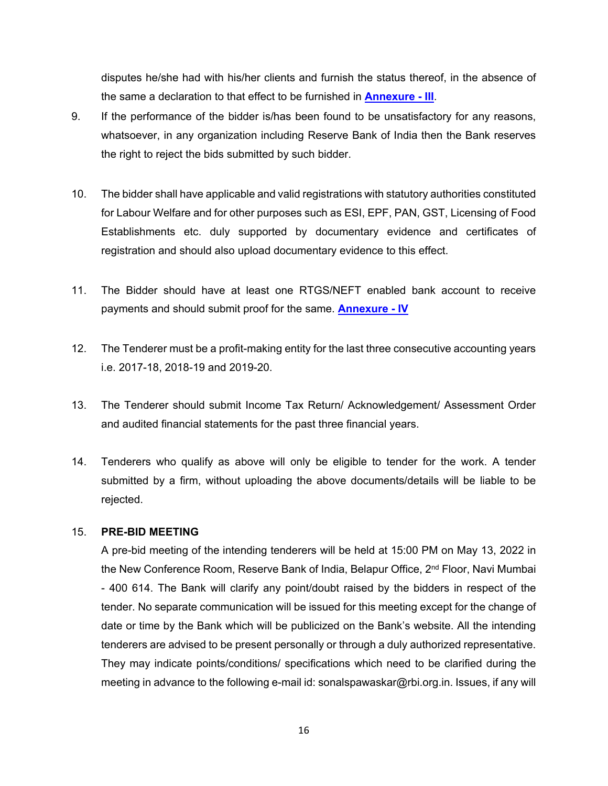disputes he/she had with his/her clients and furnish the status thereof, in the absence of the same a declaration to that effect to be furnished in **[Annexure - III](#page-37-0)**.

- 9. If the performance of the bidder is/has been found to be unsatisfactory for any reasons, whatsoever, in any organization including Reserve Bank of India then the Bank reserves the right to reject the bids submitted by such bidder.
- 10. The bidder shall have applicable and valid registrations with statutory authorities constituted for Labour Welfare and for other purposes such as ESI, EPF, PAN, GST, Licensing of Food Establishments etc. duly supported by documentary evidence and certificates of registration and should also upload documentary evidence to this effect.
- 11. The Bidder should have at least one RTGS/NEFT enabled bank account to receive payments and should submit proof for the same. **[Annexure - IV](#page-38-0)**
- 12. The Tenderer must be a profit-making entity for the last three consecutive accounting years i.e. 2017-18, 2018-19 and 2019-20.
- 13. The Tenderer should submit Income Tax Return/ Acknowledgement/ Assessment Order and audited financial statements for the past three financial years.
- 14. Tenderers who qualify as above will only be eligible to tender for the work. A tender submitted by a firm, without uploading the above documents/details will be liable to be rejected.

#### 15. **PRE-BID MEETING**

A pre-bid meeting of the intending tenderers will be held at 15:00 PM on May 13, 2022 in the New Conference Room, Reserve Bank of India, Belapur Office, 2<sup>nd</sup> Floor, Navi Mumbai - 400 614. The Bank will clarify any point/doubt raised by the bidders in respect of the tender. No separate communication will be issued for this meeting except for the change of date or time by the Bank which will be publicized on the Bank's website. All the intending tenderers are advised to be present personally or through a duly authorized representative. They may indicate points/conditions/ specifications which need to be clarified during the meeting in advance to the following e-mail id: sonalspawaskar@rbi.org.in. Issues, if any will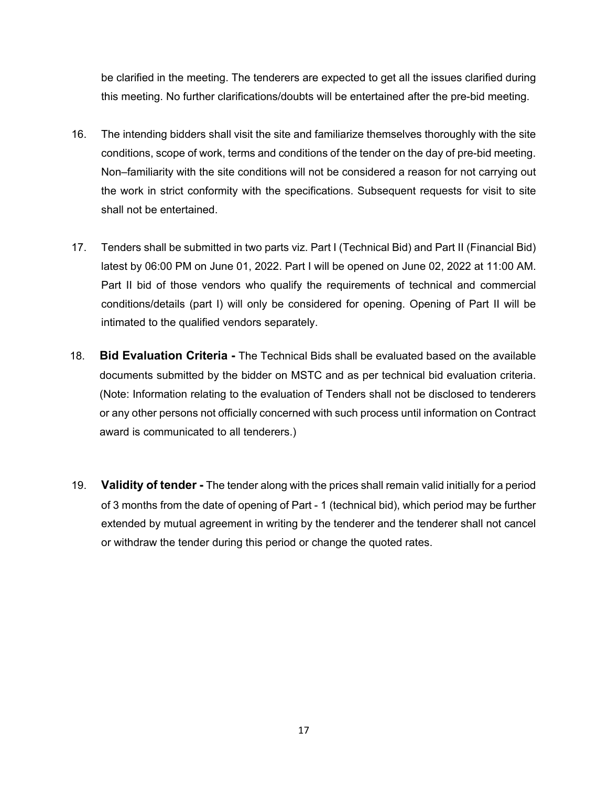be clarified in the meeting. The tenderers are expected to get all the issues clarified during this meeting. No further clarifications/doubts will be entertained after the pre-bid meeting.

- 16. The intending bidders shall visit the site and familiarize themselves thoroughly with the site conditions, scope of work, terms and conditions of the tender on the day of pre-bid meeting. Non–familiarity with the site conditions will not be considered a reason for not carrying out the work in strict conformity with the specifications. Subsequent requests for visit to site shall not be entertained.
- 17. Tenders shall be submitted in two parts viz. Part I (Technical Bid) and Part II (Financial Bid) latest by 06:00 PM on June 01, 2022. Part I will be opened on June 02, 2022 at 11:00 AM. Part II bid of those vendors who qualify the requirements of technical and commercial conditions/details (part I) will only be considered for opening. Opening of Part II will be intimated to the qualified vendors separately.
- 18. **Bid Evaluation Criteria -** The Technical Bids shall be evaluated based on the available documents submitted by the bidder on MSTC and as per technical bid evaluation criteria. (Note: Information relating to the evaluation of Tenders shall not be disclosed to tenderers or any other persons not officially concerned with such process until information on Contract award is communicated to all tenderers.)
- 19. **Validity of tender -** The tender along with the prices shall remain valid initially for a period of 3 months from the date of opening of Part - 1 (technical bid), which period may be further extended by mutual agreement in writing by the tenderer and the tenderer shall not cancel or withdraw the tender during this period or change the quoted rates.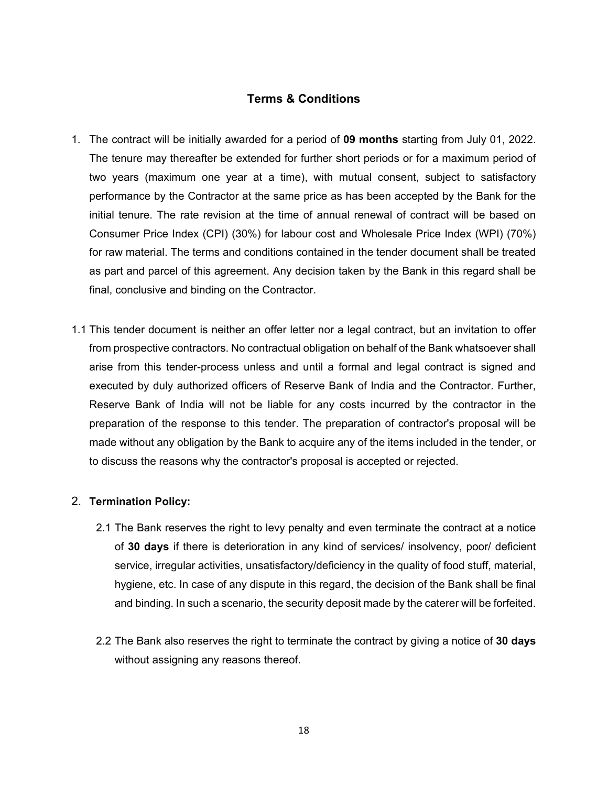### **Terms & Conditions**

- 1. The contract will be initially awarded for a period of **09 months** starting from July 01, 2022. The tenure may thereafter be extended for further short periods or for a maximum period of two years (maximum one year at a time), with mutual consent, subject to satisfactory performance by the Contractor at the same price as has been accepted by the Bank for the initial tenure. The rate revision at the time of annual renewal of contract will be based on Consumer Price Index (CPI) (30%) for labour cost and Wholesale Price Index (WPI) (70%) for raw material. The terms and conditions contained in the tender document shall be treated as part and parcel of this agreement. Any decision taken by the Bank in this regard shall be final, conclusive and binding on the Contractor.
- 1.1 This tender document is neither an offer letter nor a legal contract, but an invitation to offer from prospective contractors. No contractual obligation on behalf of the Bank whatsoever shall arise from this tender-process unless and until a formal and legal contract is signed and executed by duly authorized officers of Reserve Bank of India and the Contractor. Further, Reserve Bank of India will not be liable for any costs incurred by the contractor in the preparation of the response to this tender. The preparation of contractor's proposal will be made without any obligation by the Bank to acquire any of the items included in the tender, or to discuss the reasons why the contractor's proposal is accepted or rejected.

#### 2. **Termination Policy:**

- 2.1 The Bank reserves the right to levy penalty and even terminate the contract at a notice of **30 days** if there is deterioration in any kind of services/ insolvency, poor/ deficient service, irregular activities, unsatisfactory/deficiency in the quality of food stuff, material, hygiene, etc. In case of any dispute in this regard, the decision of the Bank shall be final and binding. In such a scenario, the security deposit made by the caterer will be forfeited.
- 2.2 The Bank also reserves the right to terminate the contract by giving a notice of **30 days**  without assigning any reasons thereof.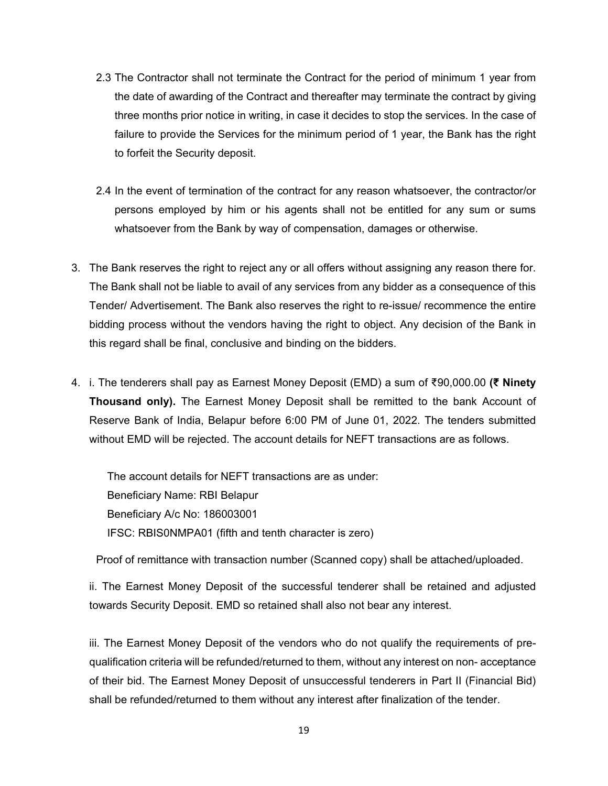- 2.3 The Contractor shall not terminate the Contract for the period of minimum 1 year from the date of awarding of the Contract and thereafter may terminate the contract by giving three months prior notice in writing, in case it decides to stop the services. In the case of failure to provide the Services for the minimum period of 1 year, the Bank has the right to forfeit the Security deposit.
- 2.4 In the event of termination of the contract for any reason whatsoever, the contractor/or persons employed by him or his agents shall not be entitled for any sum or sums whatsoever from the Bank by way of compensation, damages or otherwise.
- 3. The Bank reserves the right to reject any or all offers without assigning any reason there for. The Bank shall not be liable to avail of any services from any bidder as a consequence of this Tender/ Advertisement. The Bank also reserves the right to re-issue/ recommence the entire bidding process without the vendors having the right to object. Any decision of the Bank in this regard shall be final, conclusive and binding on the bidders.
- 4. i. The tenderers shall pay as Earnest Money Deposit (EMD) a sum of ₹90,000.00 **(₹ Ninety Thousand only).** The Earnest Money Deposit shall be remitted to the bank Account of Reserve Bank of India, Belapur before 6:00 PM of June 01, 2022. The tenders submitted without EMD will be rejected. The account details for NEFT transactions are as follows.

The account details for NEFT transactions are as under: Beneficiary Name: RBI Belapur Beneficiary A/c No: 186003001 IFSC: RBIS0NMPA01 (fifth and tenth character is zero)

Proof of remittance with transaction number (Scanned copy) shall be attached/uploaded.

ii. The Earnest Money Deposit of the successful tenderer shall be retained and adjusted towards Security Deposit. EMD so retained shall also not bear any interest.

iii. The Earnest Money Deposit of the vendors who do not qualify the requirements of prequalification criteria will be refunded/returned to them, without any interest on non- acceptance of their bid. The Earnest Money Deposit of unsuccessful tenderers in Part II (Financial Bid) shall be refunded/returned to them without any interest after finalization of the tender.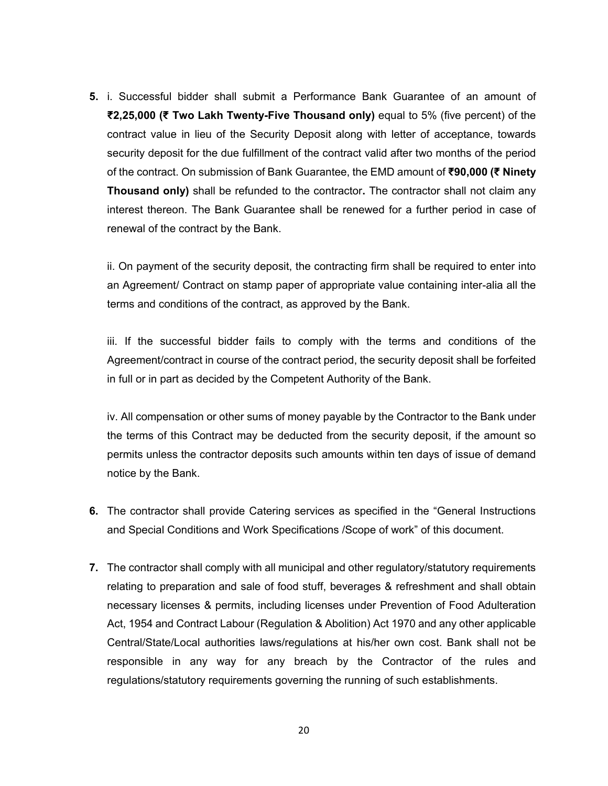**5.** i. Successful bidder shall submit a Performance Bank Guarantee of an amount of **₹2,25,000 (₹ Two Lakh Twenty-Five Thousand only)** equal to 5% (five percent) of the contract value in lieu of the Security Deposit along with letter of acceptance, towards security deposit for the due fulfillment of the contract valid after two months of the period of the contract. On submission of Bank Guarantee, the EMD amount of **₹90,000 (₹ Ninety Thousand only)** shall be refunded to the contractor**.** The contractor shall not claim any interest thereon. The Bank Guarantee shall be renewed for a further period in case of renewal of the contract by the Bank.

ii. On payment of the security deposit, the contracting firm shall be required to enter into an Agreement/ Contract on stamp paper of appropriate value containing inter-alia all the terms and conditions of the contract, as approved by the Bank.

iii. If the successful bidder fails to comply with the terms and conditions of the Agreement/contract in course of the contract period, the security deposit shall be forfeited in full or in part as decided by the Competent Authority of the Bank.

iv. All compensation or other sums of money payable by the Contractor to the Bank under the terms of this Contract may be deducted from the security deposit, if the amount so permits unless the contractor deposits such amounts within ten days of issue of demand notice by the Bank.

- **6.** The contractor shall provide Catering services as specified in the "General Instructions and Special Conditions and Work Specifications /Scope of work" of this document.
- **7.** The contractor shall comply with all municipal and other regulatory/statutory requirements relating to preparation and sale of food stuff, beverages & refreshment and shall obtain necessary licenses & permits, including licenses under Prevention of Food Adulteration Act, 1954 and Contract Labour (Regulation & Abolition) Act 1970 and any other applicable Central/State/Local authorities laws/regulations at his/her own cost. Bank shall not be responsible in any way for any breach by the Contractor of the rules and regulations/statutory requirements governing the running of such establishments.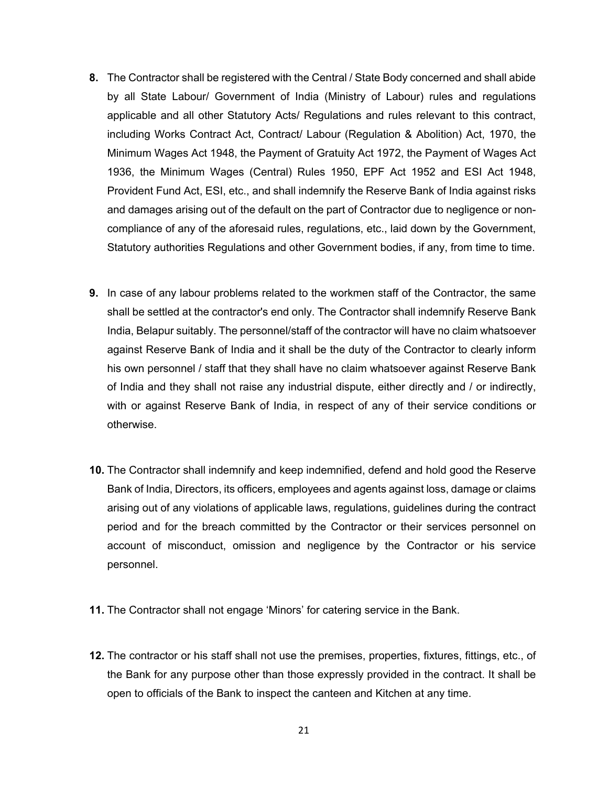- **8.** The Contractor shall be registered with the Central / State Body concerned and shall abide by all State Labour/ Government of India (Ministry of Labour) rules and regulations applicable and all other Statutory Acts/ Regulations and rules relevant to this contract, including Works Contract Act, Contract/ Labour (Regulation & Abolition) Act, 1970, the Minimum Wages Act 1948, the Payment of Gratuity Act 1972, the Payment of Wages Act 1936, the Minimum Wages (Central) Rules 1950, EPF Act 1952 and ESI Act 1948, Provident Fund Act, ESI, etc., and shall indemnify the Reserve Bank of India against risks and damages arising out of the default on the part of Contractor due to negligence or noncompliance of any of the aforesaid rules, regulations, etc., laid down by the Government, Statutory authorities Regulations and other Government bodies, if any, from time to time.
- **9.** In case of any labour problems related to the workmen staff of the Contractor, the same shall be settled at the contractor's end only. The Contractor shall indemnify Reserve Bank India, Belapur suitably. The personnel/staff of the contractor will have no claim whatsoever against Reserve Bank of India and it shall be the duty of the Contractor to clearly inform his own personnel / staff that they shall have no claim whatsoever against Reserve Bank of India and they shall not raise any industrial dispute, either directly and / or indirectly, with or against Reserve Bank of India, in respect of any of their service conditions or otherwise.
- **10.** The Contractor shall indemnify and keep indemnified, defend and hold good the Reserve Bank of India, Directors, its officers, employees and agents against loss, damage or claims arising out of any violations of applicable laws, regulations, guidelines during the contract period and for the breach committed by the Contractor or their services personnel on account of misconduct, omission and negligence by the Contractor or his service personnel.
- **11.** The Contractor shall not engage 'Minors' for catering service in the Bank.
- **12.** The contractor or his staff shall not use the premises, properties, fixtures, fittings, etc., of the Bank for any purpose other than those expressly provided in the contract. It shall be open to officials of the Bank to inspect the canteen and Kitchen at any time.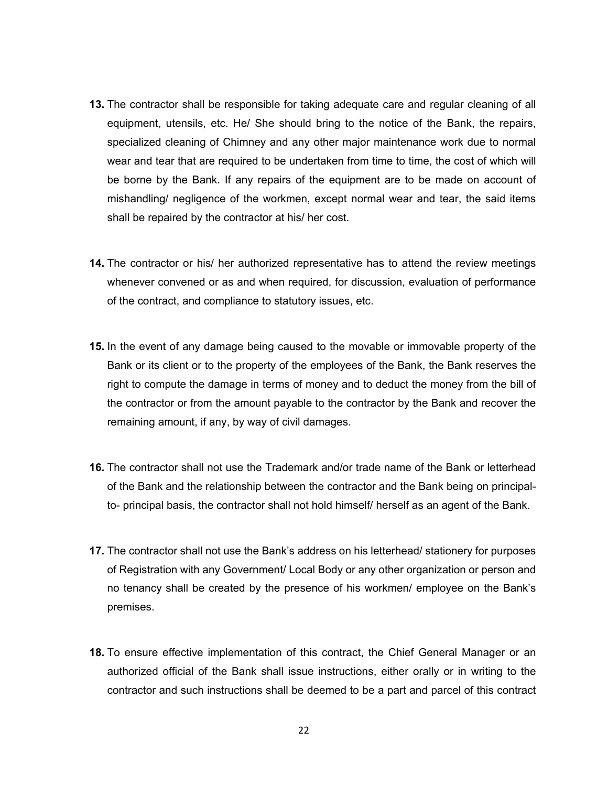- **13.** The contractor shall be responsible for taking adequate care and regular cleaning of all equipment, utensils, etc. He/ She should bring to the notice of the Bank, the repairs, specialized cleaning of Chimney and any other major maintenance work due to normal wear and tear that are required to be undertaken from time to time, the cost of which will be borne by the Bank. If any repairs of the equipment are to be made on account of mishandling/ negligence of the workmen, except normal wear and tear, the said items shall be repaired by the contractor at his/ her cost.
- **14.** The contractor or his/ her authorized representative has to attend the review meetings whenever convened or as and when required, for discussion, evaluation of performance of the contract, and compliance to statutory issues, etc.
- **15.** In the event of any damage being caused to the movable or immovable property of the Bank or its client or to the property of the employees of the Bank, the Bank reserves the right to compute the damage in terms of money and to deduct the money from the bill of the contractor or from the amount payable to the contractor by the Bank and recover the remaining amount, if any, by way of civil damages.
- **16.** The contractor shall not use the Trademark and/or trade name of the Bank or letterhead of the Bank and the relationship between the contractor and the Bank being on principalto- principal basis, the contractor shall not hold himself/ herself as an agent of the Bank.
- **17.** The contractor shall not use the Bank's address on his letterhead/ stationery for purposes of Registration with any Government/ Local Body or any other organization or person and no tenancy shall be created by the presence of his workmen/ employee on the Bank's premises.
- **18.** To ensure effective implementation of this contract, the Chief General Manager or an authorized official of the Bank shall issue instructions, either orally or in writing to the contractor and such instructions shall be deemed to be a part and parcel of this contract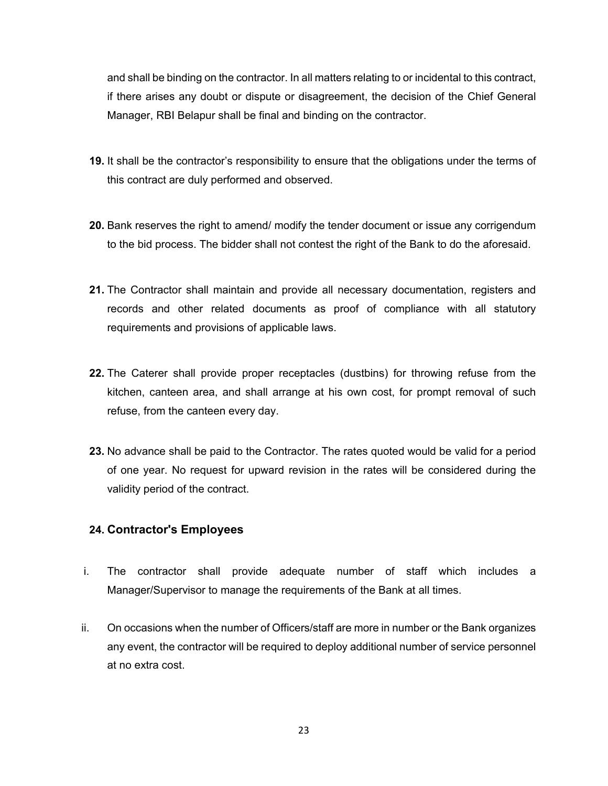and shall be binding on the contractor. In all matters relating to or incidental to this contract, if there arises any doubt or dispute or disagreement, the decision of the Chief General Manager, RBI Belapur shall be final and binding on the contractor.

- **19.** It shall be the contractor's responsibility to ensure that the obligations under the terms of this contract are duly performed and observed.
- **20.** Bank reserves the right to amend/ modify the tender document or issue any corrigendum to the bid process. The bidder shall not contest the right of the Bank to do the aforesaid.
- **21.** The Contractor shall maintain and provide all necessary documentation, registers and records and other related documents as proof of compliance with all statutory requirements and provisions of applicable laws.
- **22.** The Caterer shall provide proper receptacles (dustbins) for throwing refuse from the kitchen, canteen area, and shall arrange at his own cost, for prompt removal of such refuse, from the canteen every day.
- **23.** No advance shall be paid to the Contractor. The rates quoted would be valid for a period of one year. No request for upward revision in the rates will be considered during the validity period of the contract.

#### **24. Contractor's Employees**

- i. The contractor shall provide adequate number of staff which includes a Manager/Supervisor to manage the requirements of the Bank at all times.
- ii. On occasions when the number of Officers/staff are more in number or the Bank organizes any event, the contractor will be required to deploy additional number of service personnel at no extra cost.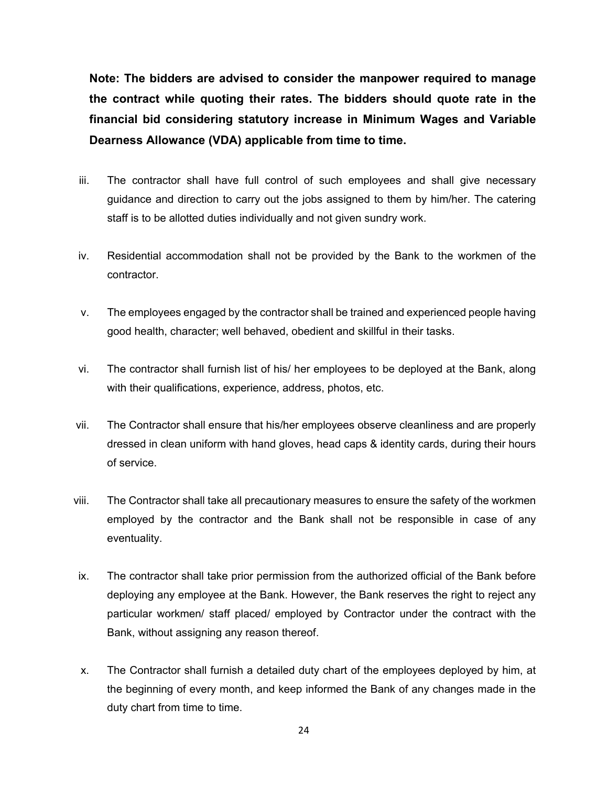**Note: The bidders are advised to consider the manpower required to manage the contract while quoting their rates. The bidders should quote rate in the financial bid considering statutory increase in Minimum Wages and Variable Dearness Allowance (VDA) applicable from time to time.** 

- iii. The contractor shall have full control of such employees and shall give necessary guidance and direction to carry out the jobs assigned to them by him/her. The catering staff is to be allotted duties individually and not given sundry work.
- iv. Residential accommodation shall not be provided by the Bank to the workmen of the contractor.
- v. The employees engaged by the contractor shall be trained and experienced people having good health, character; well behaved, obedient and skillful in their tasks.
- vi. The contractor shall furnish list of his/ her employees to be deployed at the Bank, along with their qualifications, experience, address, photos, etc.
- vii. The Contractor shall ensure that his/her employees observe cleanliness and are properly dressed in clean uniform with hand gloves, head caps & identity cards, during their hours of service.
- viii. The Contractor shall take all precautionary measures to ensure the safety of the workmen employed by the contractor and the Bank shall not be responsible in case of any eventuality.
- ix. The contractor shall take prior permission from the authorized official of the Bank before deploying any employee at the Bank. However, the Bank reserves the right to reject any particular workmen/ staff placed/ employed by Contractor under the contract with the Bank, without assigning any reason thereof.
- x. The Contractor shall furnish a detailed duty chart of the employees deployed by him, at the beginning of every month, and keep informed the Bank of any changes made in the duty chart from time to time.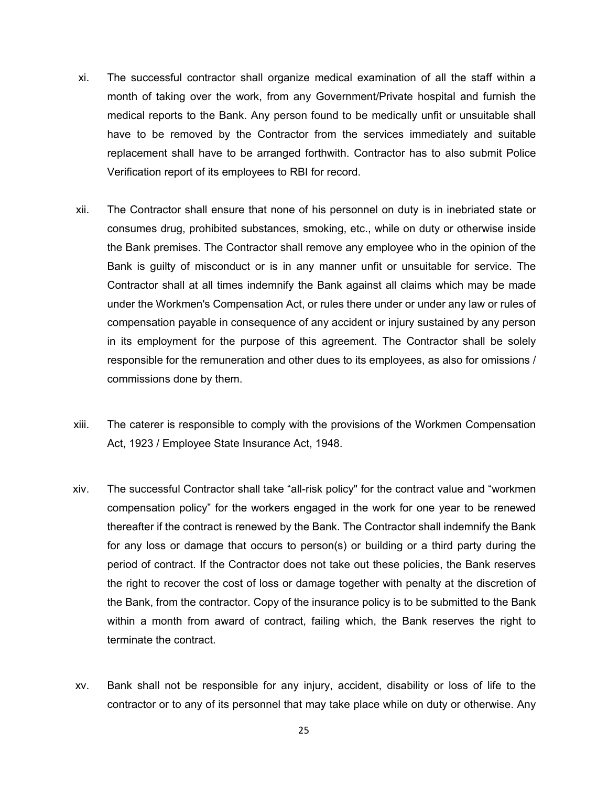- xi. The successful contractor shall organize medical examination of all the staff within a month of taking over the work, from any Government/Private hospital and furnish the medical reports to the Bank. Any person found to be medically unfit or unsuitable shall have to be removed by the Contractor from the services immediately and suitable replacement shall have to be arranged forthwith. Contractor has to also submit Police Verification report of its employees to RBI for record.
- xii. The Contractor shall ensure that none of his personnel on duty is in inebriated state or consumes drug, prohibited substances, smoking, etc., while on duty or otherwise inside the Bank premises. The Contractor shall remove any employee who in the opinion of the Bank is guilty of misconduct or is in any manner unfit or unsuitable for service. The Contractor shall at all times indemnify the Bank against all claims which may be made under the Workmen's Compensation Act, or rules there under or under any law or rules of compensation payable in consequence of any accident or injury sustained by any person in its employment for the purpose of this agreement. The Contractor shall be solely responsible for the remuneration and other dues to its employees, as also for omissions / commissions done by them.
- xiii. The caterer is responsible to comply with the provisions of the Workmen Compensation Act, 1923 / Employee State Insurance Act, 1948.
- xiv. The successful Contractor shall take "all-risk policy" for the contract value and "workmen compensation policy" for the workers engaged in the work for one year to be renewed thereafter if the contract is renewed by the Bank. The Contractor shall indemnify the Bank for any loss or damage that occurs to person(s) or building or a third party during the period of contract. If the Contractor does not take out these policies, the Bank reserves the right to recover the cost of loss or damage together with penalty at the discretion of the Bank, from the contractor. Copy of the insurance policy is to be submitted to the Bank within a month from award of contract, failing which, the Bank reserves the right to terminate the contract.
- xv. Bank shall not be responsible for any injury, accident, disability or loss of life to the contractor or to any of its personnel that may take place while on duty or otherwise. Any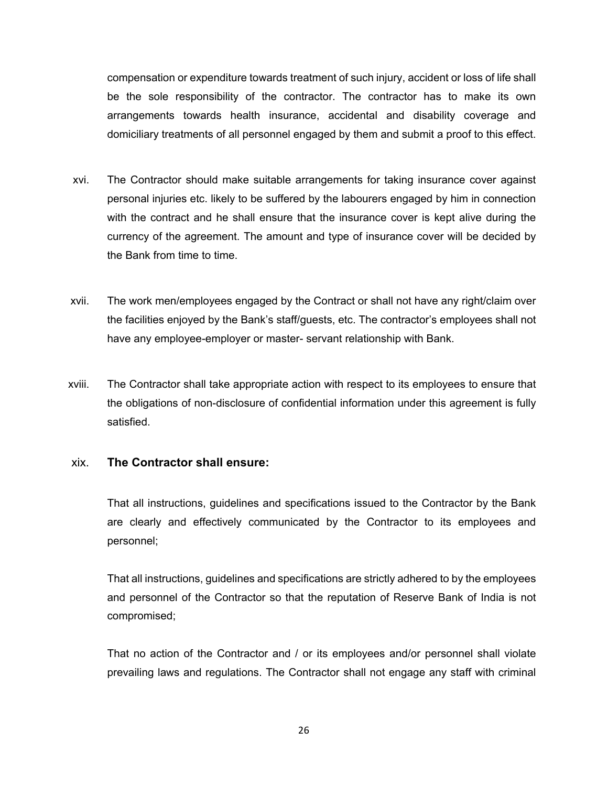compensation or expenditure towards treatment of such injury, accident or loss of life shall be the sole responsibility of the contractor. The contractor has to make its own arrangements towards health insurance, accidental and disability coverage and domiciliary treatments of all personnel engaged by them and submit a proof to this effect.

- xvi. The Contractor should make suitable arrangements for taking insurance cover against personal injuries etc. likely to be suffered by the labourers engaged by him in connection with the contract and he shall ensure that the insurance cover is kept alive during the currency of the agreement. The amount and type of insurance cover will be decided by the Bank from time to time.
- xvii. The work men/employees engaged by the Contract or shall not have any right/claim over the facilities enjoyed by the Bank's staff/guests, etc. The contractor's employees shall not have any employee-employer or master- servant relationship with Bank.
- xviii. The Contractor shall take appropriate action with respect to its employees to ensure that the obligations of non-disclosure of confidential information under this agreement is fully satisfied.

#### xix. **The Contractor shall ensure:**

That all instructions, guidelines and specifications issued to the Contractor by the Bank are clearly and effectively communicated by the Contractor to its employees and personnel;

That all instructions, guidelines and specifications are strictly adhered to by the employees and personnel of the Contractor so that the reputation of Reserve Bank of India is not compromised;

That no action of the Contractor and / or its employees and/or personnel shall violate prevailing laws and regulations. The Contractor shall not engage any staff with criminal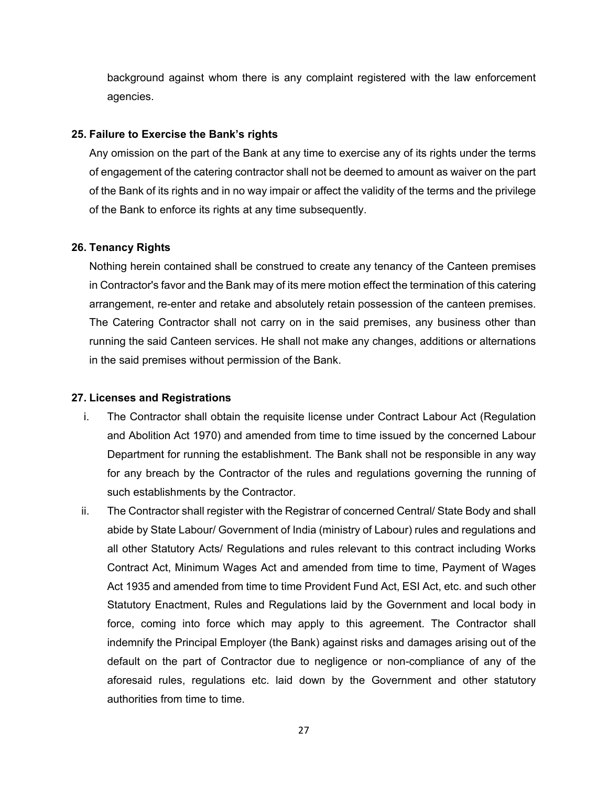background against whom there is any complaint registered with the law enforcement agencies.

#### **25. Failure to Exercise the Bank's rights**

Any omission on the part of the Bank at any time to exercise any of its rights under the terms of engagement of the catering contractor shall not be deemed to amount as waiver on the part of the Bank of its rights and in no way impair or affect the validity of the terms and the privilege of the Bank to enforce its rights at any time subsequently.

#### **26. Tenancy Rights**

Nothing herein contained shall be construed to create any tenancy of the Canteen premises in Contractor's favor and the Bank may of its mere motion effect the termination of this catering arrangement, re-enter and retake and absolutely retain possession of the canteen premises. The Catering Contractor shall not carry on in the said premises, any business other than running the said Canteen services. He shall not make any changes, additions or alternations in the said premises without permission of the Bank.

#### **27. Licenses and Registrations**

- i. The Contractor shall obtain the requisite license under Contract Labour Act (Regulation and Abolition Act 1970) and amended from time to time issued by the concerned Labour Department for running the establishment. The Bank shall not be responsible in any way for any breach by the Contractor of the rules and regulations governing the running of such establishments by the Contractor.
- ii. The Contractor shall register with the Registrar of concerned Central/ State Body and shall abide by State Labour/ Government of India (ministry of Labour) rules and regulations and all other Statutory Acts/ Regulations and rules relevant to this contract including Works Contract Act, Minimum Wages Act and amended from time to time, Payment of Wages Act 1935 and amended from time to time Provident Fund Act, ESI Act, etc. and such other Statutory Enactment, Rules and Regulations laid by the Government and local body in force, coming into force which may apply to this agreement. The Contractor shall indemnify the Principal Employer (the Bank) against risks and damages arising out of the default on the part of Contractor due to negligence or non-compliance of any of the aforesaid rules, regulations etc. laid down by the Government and other statutory authorities from time to time.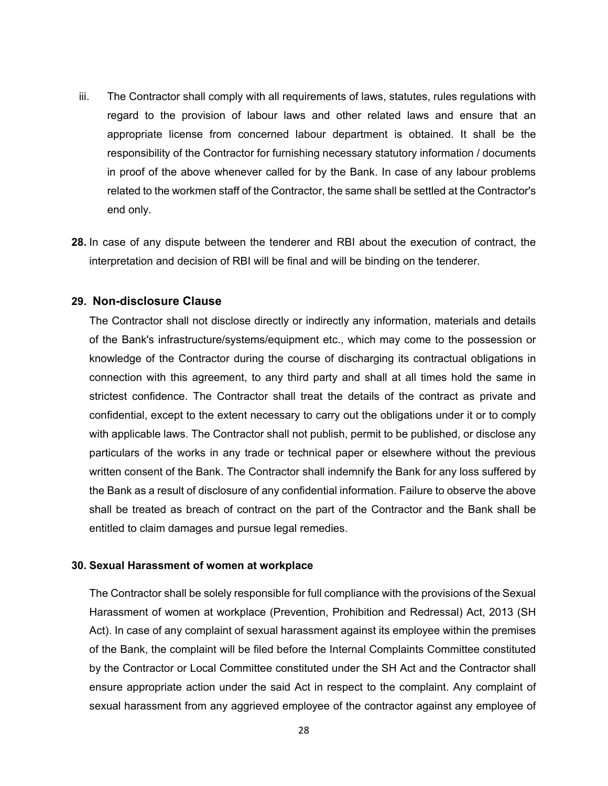- iii. The Contractor shall comply with all requirements of laws, statutes, rules regulations with regard to the provision of labour laws and other related laws and ensure that an appropriate license from concerned labour department is obtained. It shall be the responsibility of the Contractor for furnishing necessary statutory information / documents in proof of the above whenever called for by the Bank. In case of any labour problems related to the workmen staff of the Contractor, the same shall be settled at the Contractor's end only.
- **28.** In case of any dispute between the tenderer and RBI about the execution of contract, the interpretation and decision of RBI will be final and will be binding on the tenderer.

#### **29. Non-disclosure Clause**

The Contractor shall not disclose directly or indirectly any information, materials and details of the Bank's infrastructure/systems/equipment etc., which may come to the possession or knowledge of the Contractor during the course of discharging its contractual obligations in connection with this agreement, to any third party and shall at all times hold the same in strictest confidence. The Contractor shall treat the details of the contract as private and confidential, except to the extent necessary to carry out the obligations under it or to comply with applicable laws. The Contractor shall not publish, permit to be published, or disclose any particulars of the works in any trade or technical paper or elsewhere without the previous written consent of the Bank. The Contractor shall indemnify the Bank for any loss suffered by the Bank as a result of disclosure of any confidential information. Failure to observe the above shall be treated as breach of contract on the part of the Contractor and the Bank shall be entitled to claim damages and pursue legal remedies.

#### **30. Sexual Harassment of women at workplace**

The Contractor shall be solely responsible for full compliance with the provisions of the Sexual Harassment of women at workplace (Prevention, Prohibition and Redressal) Act, 2013 (SH Act). In case of any complaint of sexual harassment against its employee within the premises of the Bank, the complaint will be filed before the Internal Complaints Committee constituted by the Contractor or Local Committee constituted under the SH Act and the Contractor shall ensure appropriate action under the said Act in respect to the complaint. Any complaint of sexual harassment from any aggrieved employee of the contractor against any employee of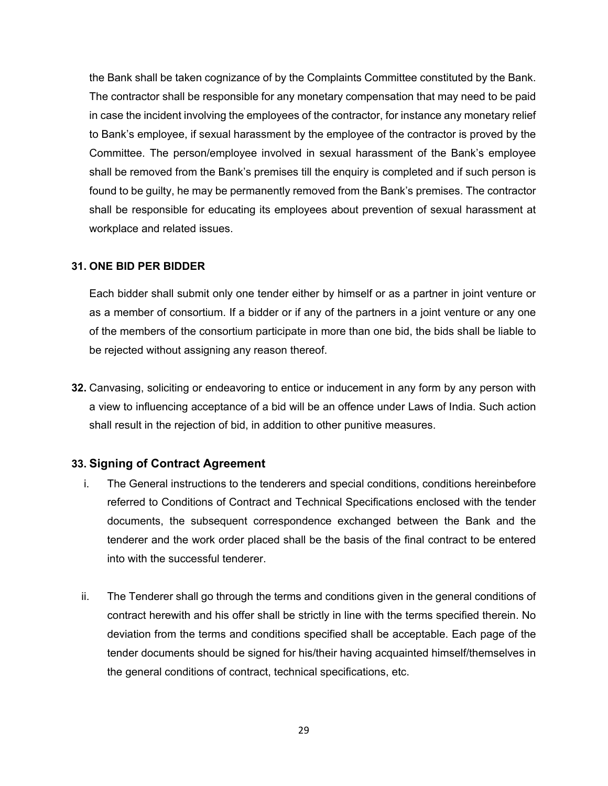the Bank shall be taken cognizance of by the Complaints Committee constituted by the Bank. The contractor shall be responsible for any monetary compensation that may need to be paid in case the incident involving the employees of the contractor, for instance any monetary relief to Bank's employee, if sexual harassment by the employee of the contractor is proved by the Committee. The person/employee involved in sexual harassment of the Bank's employee shall be removed from the Bank's premises till the enquiry is completed and if such person is found to be guilty, he may be permanently removed from the Bank's premises. The contractor shall be responsible for educating its employees about prevention of sexual harassment at workplace and related issues.

#### **31. ONE BID PER BIDDER**

Each bidder shall submit only one tender either by himself or as a partner in joint venture or as a member of consortium. If a bidder or if any of the partners in a joint venture or any one of the members of the consortium participate in more than one bid, the bids shall be liable to be rejected without assigning any reason thereof.

**32.** Canvasing, soliciting or endeavoring to entice or inducement in any form by any person with a view to influencing acceptance of a bid will be an offence under Laws of India. Such action shall result in the rejection of bid, in addition to other punitive measures.

#### **33. Signing of Contract Agreement**

- i. The General instructions to the tenderers and special conditions, conditions hereinbefore referred to Conditions of Contract and Technical Specifications enclosed with the tender documents, the subsequent correspondence exchanged between the Bank and the tenderer and the work order placed shall be the basis of the final contract to be entered into with the successful tenderer.
- ii. The Tenderer shall go through the terms and conditions given in the general conditions of contract herewith and his offer shall be strictly in line with the terms specified therein. No deviation from the terms and conditions specified shall be acceptable. Each page of the tender documents should be signed for his/their having acquainted himself/themselves in the general conditions of contract, technical specifications, etc.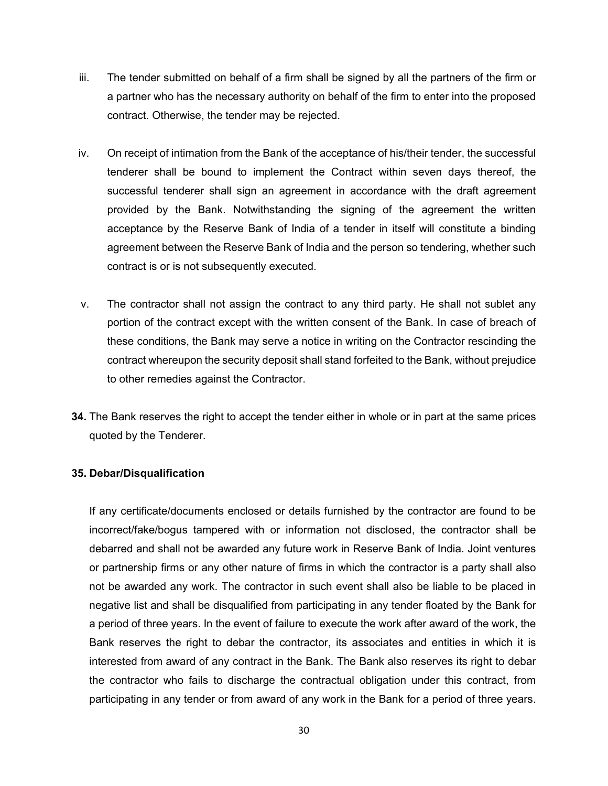- iii. The tender submitted on behalf of a firm shall be signed by all the partners of the firm or a partner who has the necessary authority on behalf of the firm to enter into the proposed contract. Otherwise, the tender may be rejected.
- iv. On receipt of intimation from the Bank of the acceptance of his/their tender, the successful tenderer shall be bound to implement the Contract within seven days thereof, the successful tenderer shall sign an agreement in accordance with the draft agreement provided by the Bank. Notwithstanding the signing of the agreement the written acceptance by the Reserve Bank of India of a tender in itself will constitute a binding agreement between the Reserve Bank of India and the person so tendering, whether such contract is or is not subsequently executed.
- v. The contractor shall not assign the contract to any third party. He shall not sublet any portion of the contract except with the written consent of the Bank. In case of breach of these conditions, the Bank may serve a notice in writing on the Contractor rescinding the contract whereupon the security deposit shall stand forfeited to the Bank, without prejudice to other remedies against the Contractor.
- **34.** The Bank reserves the right to accept the tender either in whole or in part at the same prices quoted by the Tenderer.

#### **35. Debar/Disqualification**

If any certificate/documents enclosed or details furnished by the contractor are found to be incorrect/fake/bogus tampered with or information not disclosed, the contractor shall be debarred and shall not be awarded any future work in Reserve Bank of India. Joint ventures or partnership firms or any other nature of firms in which the contractor is a party shall also not be awarded any work. The contractor in such event shall also be liable to be placed in negative list and shall be disqualified from participating in any tender floated by the Bank for a period of three years. In the event of failure to execute the work after award of the work, the Bank reserves the right to debar the contractor, its associates and entities in which it is interested from award of any contract in the Bank. The Bank also reserves its right to debar the contractor who fails to discharge the contractual obligation under this contract, from participating in any tender or from award of any work in the Bank for a period of three years.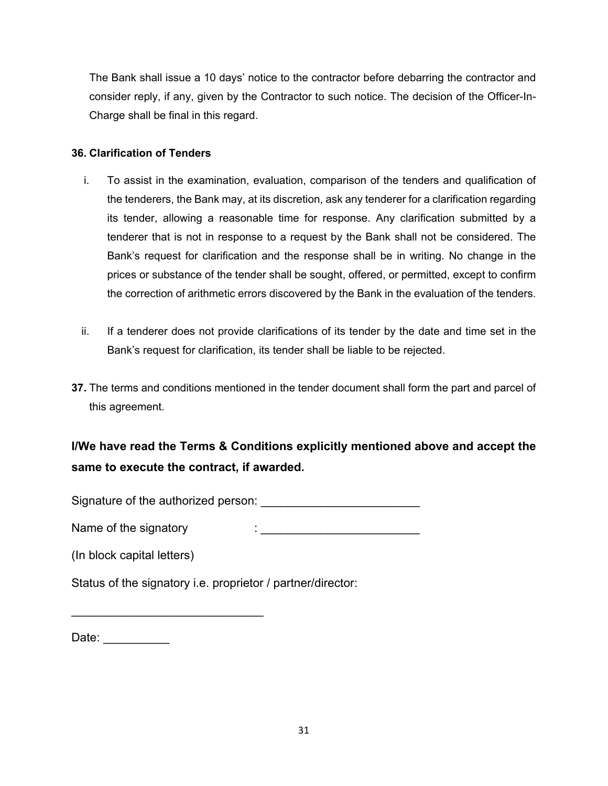The Bank shall issue a 10 days' notice to the contractor before debarring the contractor and consider reply, if any, given by the Contractor to such notice. The decision of the Officer-In-Charge shall be final in this regard.

### **36. Clarification of Tenders**

- i. To assist in the examination, evaluation, comparison of the tenders and qualification of the tenderers, the Bank may, at its discretion, ask any tenderer for a clarification regarding its tender, allowing a reasonable time for response. Any clarification submitted by a tenderer that is not in response to a request by the Bank shall not be considered. The Bank's request for clarification and the response shall be in writing. No change in the prices or substance of the tender shall be sought, offered, or permitted, except to confirm the correction of arithmetic errors discovered by the Bank in the evaluation of the tenders.
- ii. If a tenderer does not provide clarifications of its tender by the date and time set in the Bank's request for clarification, its tender shall be liable to be rejected.
- **37.** The terms and conditions mentioned in the tender document shall form the part and parcel of this agreement.

# **I/We have read the Terms & Conditions explicitly mentioned above and accept the same to execute the contract, if awarded.**

Signature of the authorized person:  $\Box$ 

Name of the signatory in the signatory in the set of the signatory in the set of the set of the set of the set of the set of the set of the set of the set of the set of the set of the set of the set of the set of the set o

(In block capital letters)

\_\_\_\_\_\_\_\_\_\_\_\_\_\_\_\_\_\_\_\_\_\_\_\_\_\_\_\_\_

Status of the signatory i.e. proprietor / partner/director:

Date: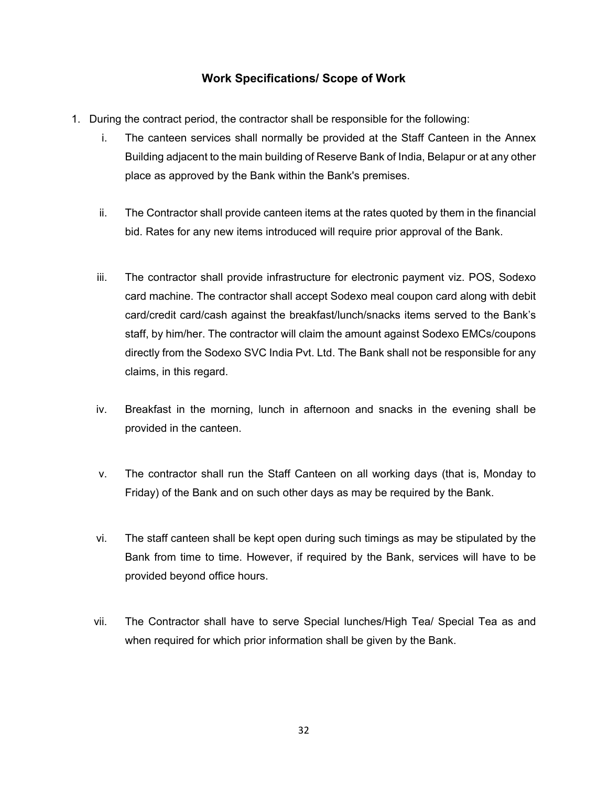### **Work Specifications/ Scope of Work**

- 1. During the contract period, the contractor shall be responsible for the following:
	- i. The canteen services shall normally be provided at the Staff Canteen in the Annex Building adjacent to the main building of Reserve Bank of India, Belapur or at any other place as approved by the Bank within the Bank's premises.
	- ii. The Contractor shall provide canteen items at the rates quoted by them in the financial bid. Rates for any new items introduced will require prior approval of the Bank.
	- iii. The contractor shall provide infrastructure for electronic payment viz. POS, Sodexo card machine. The contractor shall accept Sodexo meal coupon card along with debit card/credit card/cash against the breakfast/lunch/snacks items served to the Bank's staff, by him/her. The contractor will claim the amount against Sodexo EMCs/coupons directly from the Sodexo SVC India Pvt. Ltd. The Bank shall not be responsible for any claims, in this regard.
	- iv. Breakfast in the morning, lunch in afternoon and snacks in the evening shall be provided in the canteen.
	- v. The contractor shall run the Staff Canteen on all working days (that is, Monday to Friday) of the Bank and on such other days as may be required by the Bank.
	- vi. The staff canteen shall be kept open during such timings as may be stipulated by the Bank from time to time. However, if required by the Bank, services will have to be provided beyond office hours.
	- vii. The Contractor shall have to serve Special lunches/High Tea/ Special Tea as and when required for which prior information shall be given by the Bank.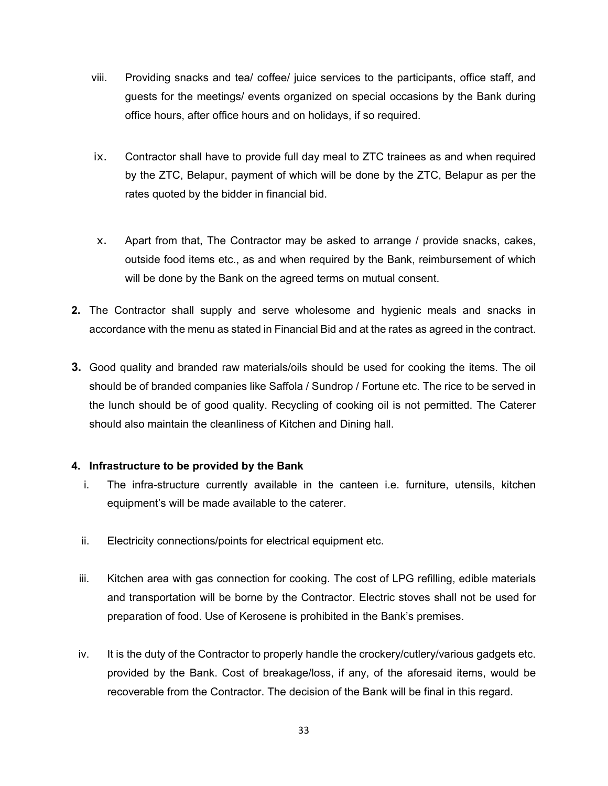- viii. Providing snacks and tea/ coffee/ juice services to the participants, office staff, and guests for the meetings/ events organized on special occasions by the Bank during office hours, after office hours and on holidays, if so required.
- ix. Contractor shall have to provide full day meal to ZTC trainees as and when required by the ZTC, Belapur, payment of which will be done by the ZTC, Belapur as per the rates quoted by the bidder in financial bid.
- x. Apart from that, The Contractor may be asked to arrange / provide snacks, cakes, outside food items etc., as and when required by the Bank, reimbursement of which will be done by the Bank on the agreed terms on mutual consent.
- **2.** The Contractor shall supply and serve wholesome and hygienic meals and snacks in accordance with the menu as stated in Financial Bid and at the rates as agreed in the contract.
- **3.** Good quality and branded raw materials/oils should be used for cooking the items. The oil should be of branded companies like Saffola / Sundrop / Fortune etc. The rice to be served in the lunch should be of good quality. Recycling of cooking oil is not permitted. The Caterer should also maintain the cleanliness of Kitchen and Dining hall.

#### **4. Infrastructure to be provided by the Bank**

- i. The infra-structure currently available in the canteen i.e. furniture, utensils, kitchen equipment's will be made available to the caterer.
- ii. Electricity connections/points for electrical equipment etc.
- iii. Kitchen area with gas connection for cooking. The cost of LPG refilling, edible materials and transportation will be borne by the Contractor. Electric stoves shall not be used for preparation of food. Use of Kerosene is prohibited in the Bank's premises.
- iv. It is the duty of the Contractor to properly handle the crockery/cutlery/various gadgets etc. provided by the Bank. Cost of breakage/loss, if any, of the aforesaid items, would be recoverable from the Contractor. The decision of the Bank will be final in this regard.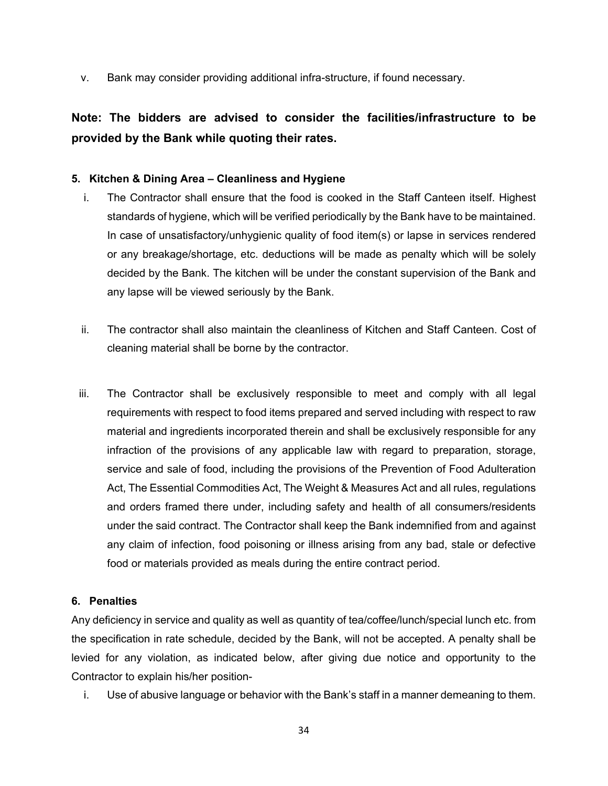v. Bank may consider providing additional infra-structure, if found necessary.

## **Note: The bidders are advised to consider the facilities/infrastructure to be provided by the Bank while quoting their rates.**

#### **5. Kitchen & Dining Area – Cleanliness and Hygiene**

- i. The Contractor shall ensure that the food is cooked in the Staff Canteen itself. Highest standards of hygiene, which will be verified periodically by the Bank have to be maintained. In case of unsatisfactory/unhygienic quality of food item(s) or lapse in services rendered or any breakage/shortage, etc. deductions will be made as penalty which will be solely decided by the Bank. The kitchen will be under the constant supervision of the Bank and any lapse will be viewed seriously by the Bank.
- ii. The contractor shall also maintain the cleanliness of Kitchen and Staff Canteen. Cost of cleaning material shall be borne by the contractor.
- iii. The Contractor shall be exclusively responsible to meet and comply with all legal requirements with respect to food items prepared and served including with respect to raw material and ingredients incorporated therein and shall be exclusively responsible for any infraction of the provisions of any applicable law with regard to preparation, storage, service and sale of food, including the provisions of the Prevention of Food Adulteration Act, The Essential Commodities Act, The Weight & Measures Act and all rules, regulations and orders framed there under, including safety and health of all consumers/residents under the said contract. The Contractor shall keep the Bank indemnified from and against any claim of infection, food poisoning or illness arising from any bad, stale or defective food or materials provided as meals during the entire contract period.

#### **6. Penalties**

Any deficiency in service and quality as well as quantity of tea/coffee/lunch/special lunch etc. from the specification in rate schedule, decided by the Bank, will not be accepted. A penalty shall be levied for any violation, as indicated below, after giving due notice and opportunity to the Contractor to explain his/her position-

i. Use of abusive language or behavior with the Bank's staff in a manner demeaning to them.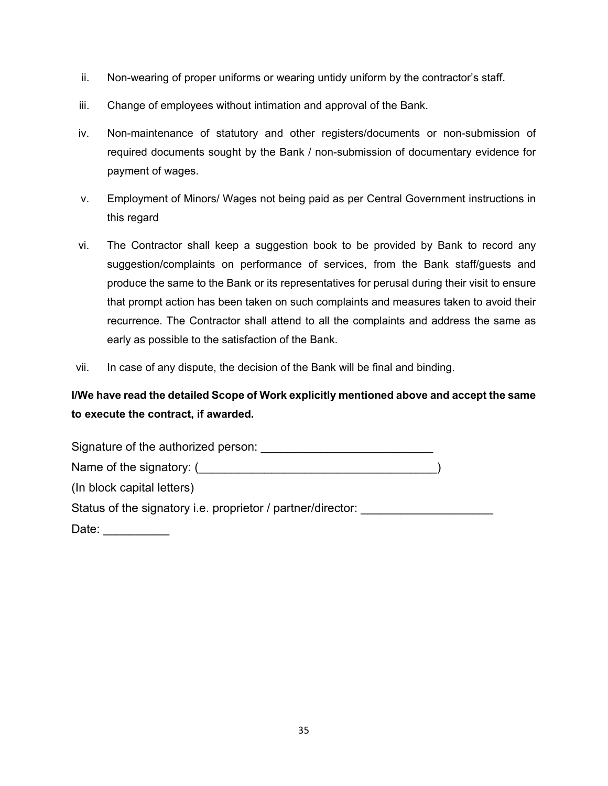- ii. Non-wearing of proper uniforms or wearing untidy uniform by the contractor's staff.
- iii. Change of employees without intimation and approval of the Bank.
- iv. Non-maintenance of statutory and other registers/documents or non-submission of required documents sought by the Bank / non-submission of documentary evidence for payment of wages.
- v. Employment of Minors/ Wages not being paid as per Central Government instructions in this regard
- vi. The Contractor shall keep a suggestion book to be provided by Bank to record any suggestion/complaints on performance of services, from the Bank staff/guests and produce the same to the Bank or its representatives for perusal during their visit to ensure that prompt action has been taken on such complaints and measures taken to avoid their recurrence. The Contractor shall attend to all the complaints and address the same as early as possible to the satisfaction of the Bank.
- vii. In case of any dispute, the decision of the Bank will be final and binding.

## **I/We have read the detailed Scope of Work explicitly mentioned above and accept the same to execute the contract, if awarded.**

| Signature of the authorized person:                         |  |
|-------------------------------------------------------------|--|
| Name of the signatory: (                                    |  |
| (In block capital letters)                                  |  |
| Status of the signatory i.e. proprietor / partner/director: |  |
| Date:                                                       |  |

35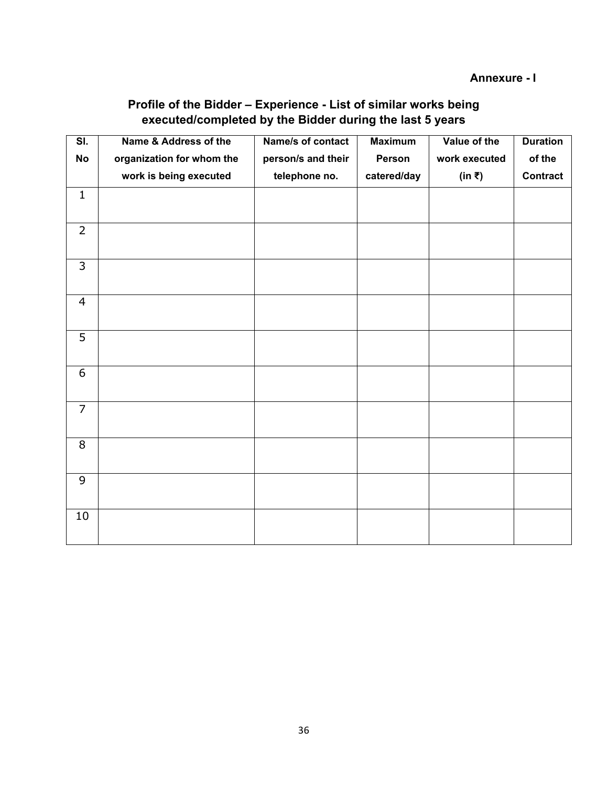## **Profile of the Bidder – Experience - List of similar works being executed/completed by the Bidder during the last 5 years**

<span id="page-35-0"></span>

| $\overline{\mathsf{SI}.}$ | Name & Address of the     | Name/s of contact  | <b>Maximum</b> | Value of the  | <b>Duration</b> |
|---------------------------|---------------------------|--------------------|----------------|---------------|-----------------|
| <b>No</b>                 | organization for whom the | person/s and their | Person         | work executed | of the          |
|                           | work is being executed    | telephone no.      | catered/day    | (in ₹)        | <b>Contract</b> |
| $\mathbf{1}$              |                           |                    |                |               |                 |
| $\overline{2}$            |                           |                    |                |               |                 |
| $\overline{3}$            |                           |                    |                |               |                 |
| $\overline{4}$            |                           |                    |                |               |                 |
| 5                         |                           |                    |                |               |                 |
| 6                         |                           |                    |                |               |                 |
| $\overline{7}$            |                           |                    |                |               |                 |
| 8                         |                           |                    |                |               |                 |
| 9                         |                           |                    |                |               |                 |
| 10                        |                           |                    |                |               |                 |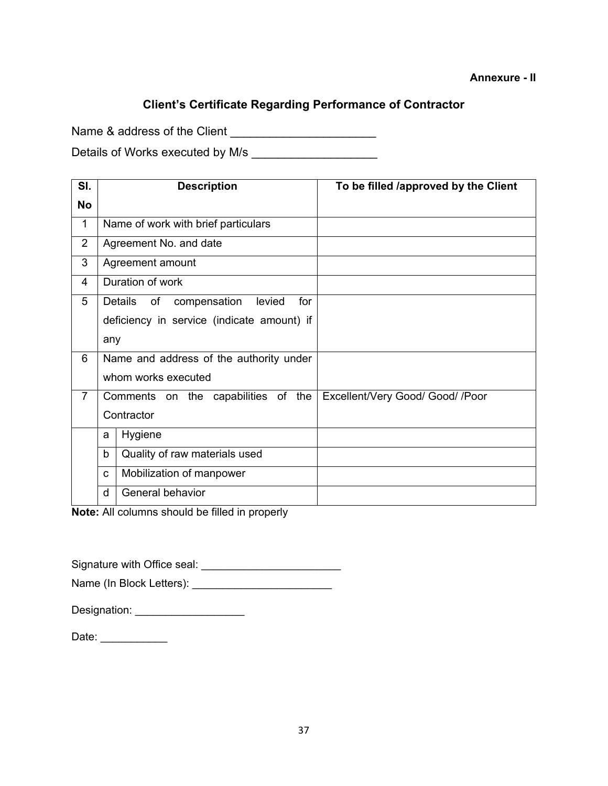### **Client's Certificate Regarding Performance of Contractor**

<span id="page-36-0"></span>Name & address of the Client \_\_\_\_\_\_\_\_\_\_\_\_\_\_\_\_\_\_\_\_\_\_

Details of Works executed by M/s \_\_\_\_\_\_\_\_\_\_\_\_\_\_\_\_\_\_\_

| SI.            | <b>Description</b>                             | To be filled /approved by the Client |
|----------------|------------------------------------------------|--------------------------------------|
| <b>No</b>      |                                                |                                      |
| $\mathbf{1}$   | Name of work with brief particulars            |                                      |
| $\overline{2}$ | Agreement No. and date                         |                                      |
| 3              | Agreement amount                               |                                      |
| 4              | Duration of work                               |                                      |
| 5              | Details<br>of<br>compensation<br>levied<br>for |                                      |
|                | deficiency in service (indicate amount) if     |                                      |
|                | any                                            |                                      |
| 6              | Name and address of the authority under        |                                      |
|                | whom works executed                            |                                      |
| $\overline{7}$ | Comments on the capabilities of the            | Excellent/Very Good/ Good/ /Poor     |
|                | Contractor                                     |                                      |
|                | Hygiene<br>a                                   |                                      |
|                | b<br>Quality of raw materials used             |                                      |
|                | Mobilization of manpower<br>C                  |                                      |
|                | General behavior<br>d                          |                                      |

**Note:** All columns should be filled in properly

Signature with Office seal: \_\_\_\_\_\_\_\_\_\_\_\_\_\_\_\_\_\_\_\_\_\_\_

Name (In Block Letters): \_\_\_\_\_\_\_\_\_\_\_\_\_\_\_\_\_\_\_\_\_\_\_

| Designation: |  |
|--------------|--|
|--------------|--|

| Date: |
|-------|
|-------|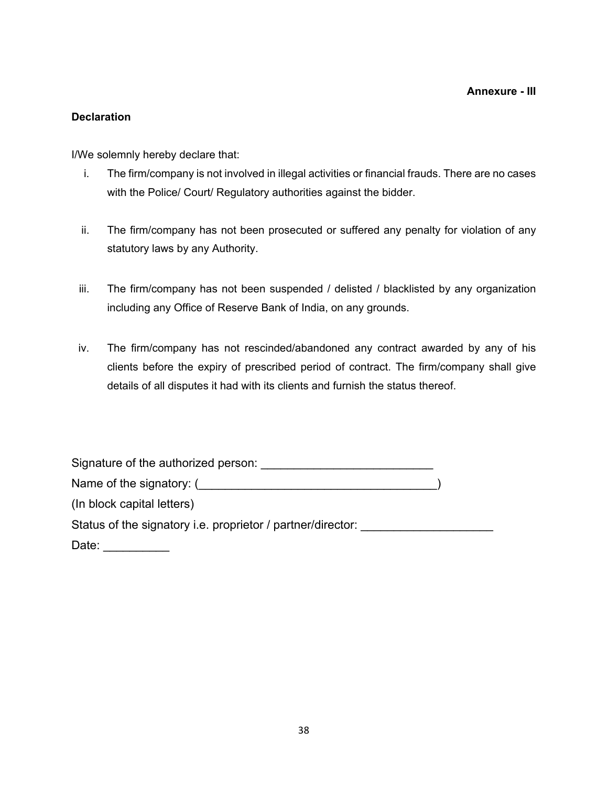### <span id="page-37-0"></span>**Declaration**

I/We solemnly hereby declare that:

- i. The firm/company is not involved in illegal activities or financial frauds. There are no cases with the Police/ Court/ Regulatory authorities against the bidder.
- ii. The firm/company has not been prosecuted or suffered any penalty for violation of any statutory laws by any Authority.
- iii. The firm/company has not been suspended / delisted / blacklisted by any organization including any Office of Reserve Bank of India, on any grounds.
- iv. The firm/company has not rescinded/abandoned any contract awarded by any of his clients before the expiry of prescribed period of contract. The firm/company shall give details of all disputes it had with its clients and furnish the status thereof.

| Signature of the authorized person:                         |  |
|-------------------------------------------------------------|--|
| Name of the signatory: (                                    |  |
| (In block capital letters)                                  |  |
| Status of the signatory i.e. proprietor / partner/director: |  |
| Date:                                                       |  |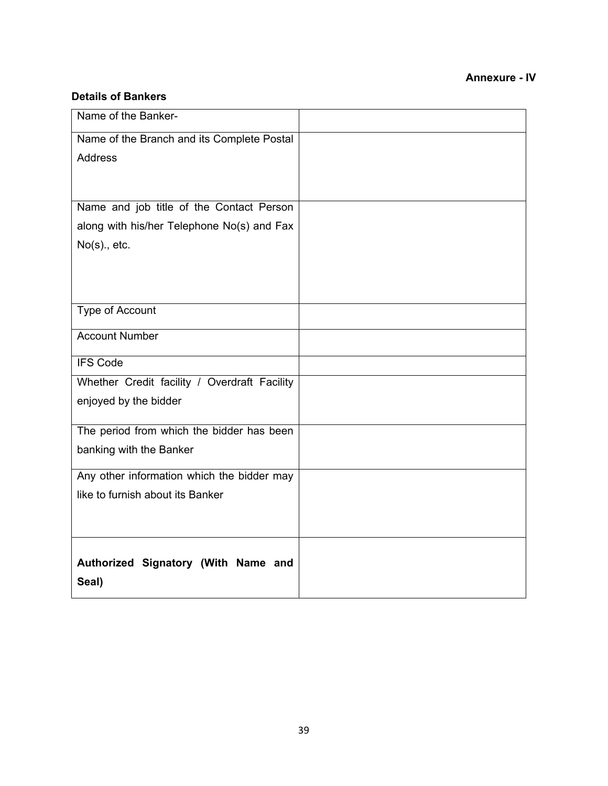### **Annexure - IV**

#### <span id="page-38-0"></span>**Details of Bankers**

| Name of the Banker-                          |  |
|----------------------------------------------|--|
| Name of the Branch and its Complete Postal   |  |
| <b>Address</b>                               |  |
|                                              |  |
|                                              |  |
| Name and job title of the Contact Person     |  |
| along with his/her Telephone No(s) and Fax   |  |
| $No(s)$ ., etc.                              |  |
|                                              |  |
|                                              |  |
| <b>Type of Account</b>                       |  |
|                                              |  |
| <b>Account Number</b>                        |  |
| <b>IFS Code</b>                              |  |
| Whether Credit facility / Overdraft Facility |  |
| enjoyed by the bidder                        |  |
|                                              |  |
| The period from which the bidder has been    |  |
| banking with the Banker                      |  |
| Any other information which the bidder may   |  |
| like to furnish about its Banker             |  |
|                                              |  |
|                                              |  |
|                                              |  |
| Authorized Signatory (With Name and          |  |
| Seal)                                        |  |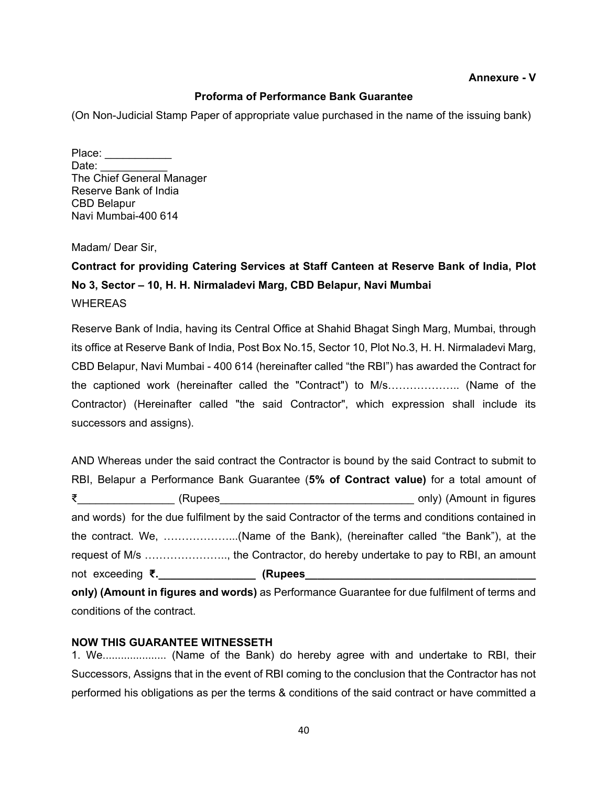#### **Annexure - V**

#### **Proforma of Performance Bank Guarantee**

(On Non-Judicial Stamp Paper of appropriate value purchased in the name of the issuing bank)

Place:  $\blacksquare$ Date: The Chief General Manager Reserve Bank of India CBD Belapur Navi Mumbai-400 614

Madam/ Dear Sir,

## **Contract for providing Catering Services at Staff Canteen at Reserve Bank of India, Plot No 3, Sector – 10, H. H. Nirmaladevi Marg, CBD Belapur, Navi Mumbai** WHEREAS

Reserve Bank of India, having its Central Office at Shahid Bhagat Singh Marg, Mumbai, through its office at Reserve Bank of India, Post Box No.15, Sector 10, Plot No.3, H. H. Nirmaladevi Marg, CBD Belapur, Navi Mumbai - 400 614 (hereinafter called "the RBI") has awarded the Contract for the captioned work (hereinafter called the "Contract") to M/s……………….. (Name of the Contractor) (Hereinafter called "the said Contractor", which expression shall include its successors and assigns).

AND Whereas under the said contract the Contractor is bound by the said Contract to submit to RBI, Belapur a Performance Bank Guarantee (**5% of Contract value)** for a total amount of ₹\_\_\_\_\_\_\_\_\_\_\_\_\_\_\_\_ (Rupees\_\_\_\_\_\_\_\_\_\_\_\_\_\_\_\_\_\_\_\_\_\_\_\_\_\_\_\_\_\_\_\_ only) (Amount in figures and words) for the due fulfilment by the said Contractor of the terms and conditions contained in the contract. We, ………………...(Name of the Bank), (hereinafter called "the Bank"), at the request of M/s ………………….., the Contractor, do hereby undertake to pay to RBI, an amount not exceeding **₹.\_\_\_\_\_\_\_\_\_\_\_\_\_\_\_\_ (Rupees\_\_\_\_\_\_\_\_\_\_\_\_\_\_\_\_\_\_\_\_\_\_\_\_\_\_\_\_\_\_\_\_\_\_\_\_\_\_ only) (Amount in figures and words)** as Performance Guarantee for due fulfilment of terms and

conditions of the contract.

#### **NOW THIS GUARANTEE WITNESSETH**

1. We..................... (Name of the Bank) do hereby agree with and undertake to RBI, their Successors, Assigns that in the event of RBI coming to the conclusion that the Contractor has not performed his obligations as per the terms & conditions of the said contract or have committed a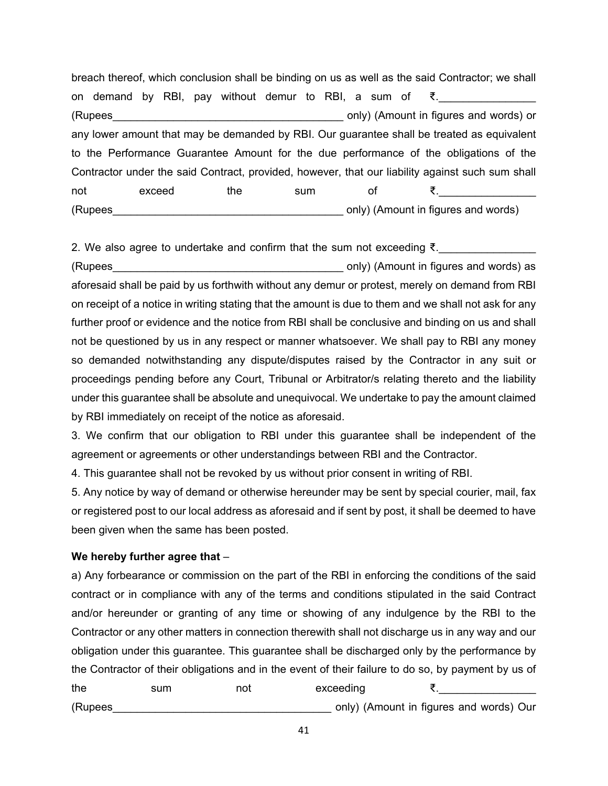breach thereof, which conclusion shall be binding on us as well as the said Contractor; we shall on demand by RBI, pay without demur to RBI, a sum of  $\xi$ . (Rupees etc.) The control only (Amount in figures and words) or any lower amount that may be demanded by RBI. Our guarantee shall be treated as equivalent to the Performance Guarantee Amount for the due performance of the obligations of the Contractor under the said Contract, provided, however, that our liability against such sum shall not exceed the sum of ₹.\_\_\_\_\_\_\_\_\_\_\_\_\_\_\_\_ (Rupees example only) (Amount in figures and words)

2. We also agree to undertake and confirm that the sum not exceeding ₹. (Rupees\_\_\_\_\_\_\_\_\_\_\_\_\_\_\_\_\_\_\_\_\_\_\_\_\_\_\_\_\_\_\_\_\_\_\_\_\_\_ only) (Amount in figures and words) as aforesaid shall be paid by us forthwith without any demur or protest, merely on demand from RBI on receipt of a notice in writing stating that the amount is due to them and we shall not ask for any further proof or evidence and the notice from RBI shall be conclusive and binding on us and shall not be questioned by us in any respect or manner whatsoever. We shall pay to RBI any money so demanded notwithstanding any dispute/disputes raised by the Contractor in any suit or proceedings pending before any Court, Tribunal or Arbitrator/s relating thereto and the liability under this guarantee shall be absolute and unequivocal. We undertake to pay the amount claimed by RBI immediately on receipt of the notice as aforesaid.

3. We confirm that our obligation to RBI under this guarantee shall be independent of the agreement or agreements or other understandings between RBI and the Contractor.

4. This guarantee shall not be revoked by us without prior consent in writing of RBI.

5. Any notice by way of demand or otherwise hereunder may be sent by special courier, mail, fax or registered post to our local address as aforesaid and if sent by post, it shall be deemed to have been given when the same has been posted.

### **We hereby further agree that** –

a) Any forbearance or commission on the part of the RBI in enforcing the conditions of the said contract or in compliance with any of the terms and conditions stipulated in the said Contract and/or hereunder or granting of any time or showing of any indulgence by the RBI to the Contractor or any other matters in connection therewith shall not discharge us in any way and our obligation under this guarantee. This guarantee shall be discharged only by the performance by the Contractor of their obligations and in the event of their failure to do so, by payment by us of the sum not exceeding ₹. (Rupees etc.) (Rupees and words) (Amount in figures and words) Our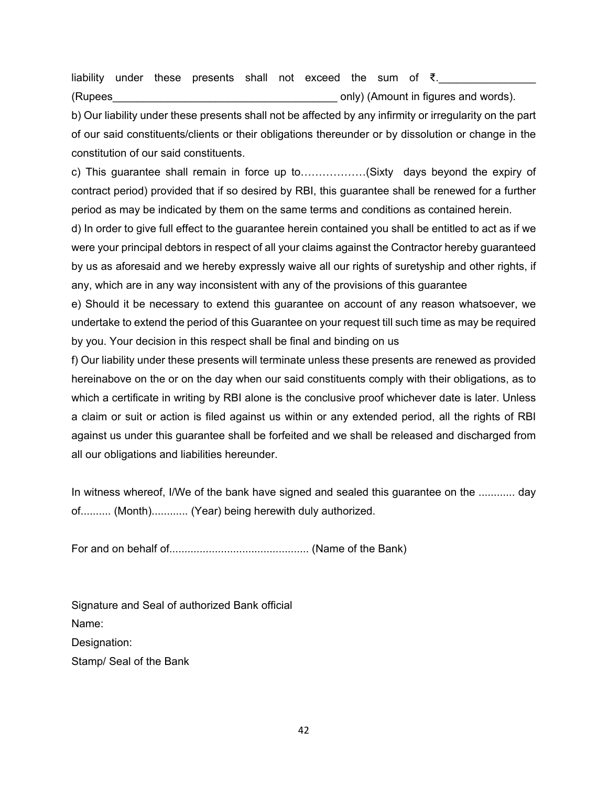liability under these presents shall not exceed the sum of  $\bar{\xi}$ . (Rupees example only) (Amount in figures and words).

b) Our liability under these presents shall not be affected by any infirmity or irregularity on the part of our said constituents/clients or their obligations thereunder or by dissolution or change in the constitution of our said constituents.

c) This guarantee shall remain in force up to………………(Sixty days beyond the expiry of contract period) provided that if so desired by RBI, this guarantee shall be renewed for a further period as may be indicated by them on the same terms and conditions as contained herein.

d) In order to give full effect to the guarantee herein contained you shall be entitled to act as if we were your principal debtors in respect of all your claims against the Contractor hereby guaranteed by us as aforesaid and we hereby expressly waive all our rights of suretyship and other rights, if any, which are in any way inconsistent with any of the provisions of this guarantee

e) Should it be necessary to extend this guarantee on account of any reason whatsoever, we undertake to extend the period of this Guarantee on your request till such time as may be required by you. Your decision in this respect shall be final and binding on us

f) Our liability under these presents will terminate unless these presents are renewed as provided hereinabove on the or on the day when our said constituents comply with their obligations, as to which a certificate in writing by RBI alone is the conclusive proof whichever date is later. Unless a claim or suit or action is filed against us within or any extended period, all the rights of RBI against us under this guarantee shall be forfeited and we shall be released and discharged from all our obligations and liabilities hereunder.

In witness whereof, I/We of the bank have signed and sealed this guarantee on the ............ day of.......... (Month)............ (Year) being herewith duly authorized.

For and on behalf of.............................................. (Name of the Bank)

Signature and Seal of authorized Bank official Name: Designation: Stamp/ Seal of the Bank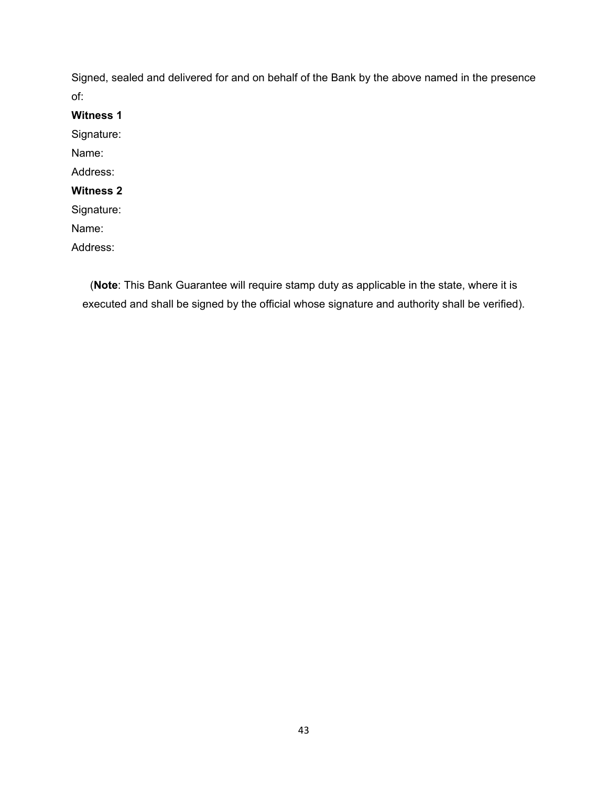Signed, sealed and delivered for and on behalf of the Bank by the above named in the presence of:

**Witness 1**  Signature: Name: Address: **Witness 2**  Signature: Name: Address:

(**Note**: This Bank Guarantee will require stamp duty as applicable in the state, where it is executed and shall be signed by the official whose signature and authority shall be verified).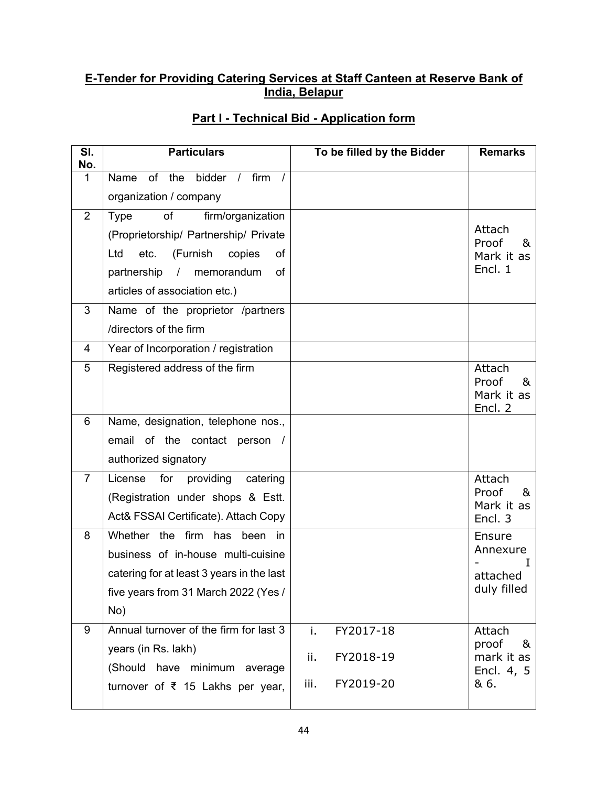## **E-Tender for Providing Catering Services at Staff Canteen at Reserve Bank of India, Belapur**

| SI.<br>No.     | <b>Particulars</b>                                           | To be filled by the Bidder | <b>Remarks</b>           |
|----------------|--------------------------------------------------------------|----------------------------|--------------------------|
| 1              | of the bidder<br>firm<br>Name<br>$\frac{1}{2}$<br>$\sqrt{ }$ |                            |                          |
|                | organization / company                                       |                            |                          |
| $\overline{2}$ | of<br>firm/organization<br><b>Type</b>                       |                            |                          |
|                | (Proprietorship/ Partnership/ Private                        |                            | Attach<br>Proof<br>&     |
|                | Ltd<br>(Furnish<br>of<br>etc.<br>copies                      |                            | Mark it as<br>Encl. 1    |
|                | partnership<br>memorandum<br>of<br>$\prime$                  |                            |                          |
| 3              | articles of association etc.)                                |                            |                          |
|                | Name of the proprietor /partners<br>/directors of the firm   |                            |                          |
| 4              | Year of Incorporation / registration                         |                            |                          |
| 5              | Registered address of the firm                               |                            | Attach                   |
|                |                                                              |                            | Proof<br>&               |
|                |                                                              |                            | Mark it as<br>Encl. 2    |
| 6              | Name, designation, telephone nos.,                           |                            |                          |
|                | email of the contact person /                                |                            |                          |
|                | authorized signatory                                         |                            |                          |
| $\overline{7}$ | License<br>for<br>providing<br>catering                      |                            | Attach                   |
|                | (Registration under shops & Estt.                            |                            | Proof<br>&<br>Mark it as |
|                | Act& FSSAI Certificate). Attach Copy                         |                            | Encl. 3                  |
| 8              | Whether the firm has been in                                 |                            | Ensure<br>Annexure       |
|                | business of in-house multi-cuisine                           |                            |                          |
|                | catering for at least 3 years in the last                    |                            | attached<br>duly filled  |
|                | five years from 31 March 2022 (Yes /<br>No)                  |                            |                          |
| 9              | Annual turnover of the firm for last 3                       | FY2017-18<br>j.            | Attach                   |
|                | years (in Rs. lakh)                                          |                            | proof<br>&               |
|                | (Should have minimum average                                 | ii.<br>FY2018-19           | mark it as<br>Encl. 4, 5 |
|                | turnover of $\bar{\tau}$ 15 Lakhs per year,                  | FY2019-20<br>iii.          | & 6.                     |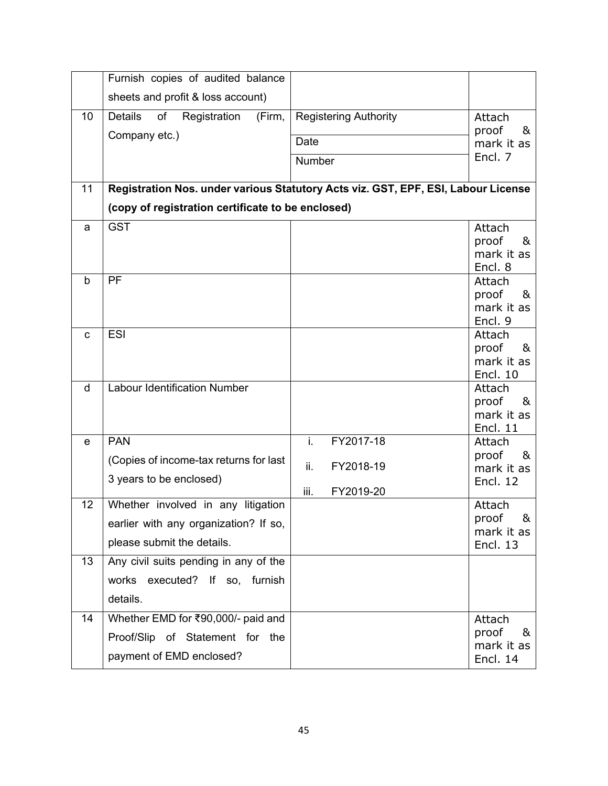|                 | Furnish copies of audited balance                                                 |                              |                               |
|-----------------|-----------------------------------------------------------------------------------|------------------------------|-------------------------------|
|                 | sheets and profit & loss account)                                                 |                              |                               |
| 10              | of<br><b>Details</b><br>Registration<br>(Firm,                                    | <b>Registering Authority</b> | Attach                        |
|                 | Company etc.)                                                                     | Date                         | proof<br>&<br>mark it as      |
|                 |                                                                                   | Number                       | Encl. 7                       |
|                 |                                                                                   |                              |                               |
| 11              | Registration Nos. under various Statutory Acts viz. GST, EPF, ESI, Labour License |                              |                               |
|                 | (copy of registration certificate to be enclosed)                                 |                              |                               |
| a               | <b>GST</b>                                                                        |                              | Attach                        |
|                 |                                                                                   |                              | proof<br>&<br>mark it as      |
|                 |                                                                                   |                              | Encl. 8                       |
| b               | PF                                                                                |                              | Attach                        |
|                 |                                                                                   |                              | proof<br>&                    |
|                 |                                                                                   |                              | mark it as<br>Encl. 9         |
| C               | <b>ESI</b>                                                                        |                              | Attach                        |
|                 |                                                                                   |                              | proof<br>&                    |
|                 |                                                                                   |                              | mark it as                    |
| d               | <b>Labour Identification Number</b>                                               |                              | <b>Encl. 10</b><br>Attach     |
|                 |                                                                                   |                              | proof<br>&                    |
|                 |                                                                                   |                              | mark it as                    |
|                 |                                                                                   |                              | <b>Encl. 11</b>               |
| е               | <b>PAN</b>                                                                        | i.<br>FY2017-18              | Attach<br>proof<br>&          |
|                 | (Copies of income-tax returns for last                                            | ii.<br>FY2018-19             | mark it as                    |
|                 | 3 years to be enclosed)                                                           | iii.<br>FY2019-20            | <b>Encl. 12</b>               |
| 12 <sub>2</sub> | Whether involved in any litigation                                                |                              | Attach                        |
|                 | earlier with any organization? If so,                                             |                              | proof<br>&                    |
|                 | please submit the details.                                                        |                              | mark it as<br><b>Encl. 13</b> |
| 13              | Any civil suits pending in any of the                                             |                              |                               |
|                 | works executed? If so, furnish                                                    |                              |                               |
|                 | details.                                                                          |                              |                               |
| 14              | Whether EMD for ₹90,000/- paid and                                                |                              | Attach                        |
|                 | Proof/Slip of Statement for the                                                   |                              | proof<br>&                    |
|                 |                                                                                   |                              | mark it as                    |
|                 | payment of EMD enclosed?                                                          |                              | <b>Encl. 14</b>               |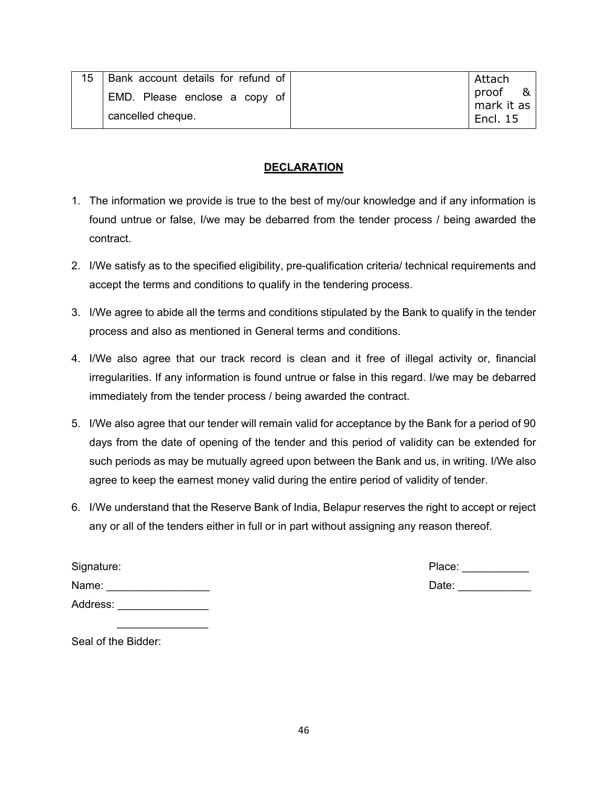| 15 | Bank account details for refund of | Attach          |
|----|------------------------------------|-----------------|
|    | EMD. Please enclose a copy of      | proof<br>&      |
|    |                                    | mark it as      |
|    | cancelled cheque.                  | <b>Encl. 15</b> |

### **DECLARATION**

- 1. The information we provide is true to the best of my/our knowledge and if any information is found untrue or false, I/we may be debarred from the tender process / being awarded the contract.
- 2. I/We satisfy as to the specified eligibility, pre-qualification criteria/ technical requirements and accept the terms and conditions to qualify in the tendering process.
- 3. I/We agree to abide all the terms and conditions stipulated by the Bank to qualify in the tender process and also as mentioned in General terms and conditions.
- 4. I/We also agree that our track record is clean and it free of illegal activity or, financial irregularities. If any information is found untrue or false in this regard. I/we may be debarred immediately from the tender process / being awarded the contract.
- 5. I/We also agree that our tender will remain valid for acceptance by the Bank for a period of 90 days from the date of opening of the tender and this period of validity can be extended for such periods as may be mutually agreed upon between the Bank and us, in writing. I/We also agree to keep the earnest money valid during the entire period of validity of tender.
- 6. I/We understand that the Reserve Bank of India, Belapur reserves the right to accept or reject any or all of the tenders either in full or in part without assigning any reason thereof.

| Signature: | Place: |
|------------|--------|
| Name:      | Date:  |
| Address:   |        |

Seal of the Bidder:

 $\mathcal{L}_\text{max}$  and  $\mathcal{L}_\text{max}$  and  $\mathcal{L}_\text{max}$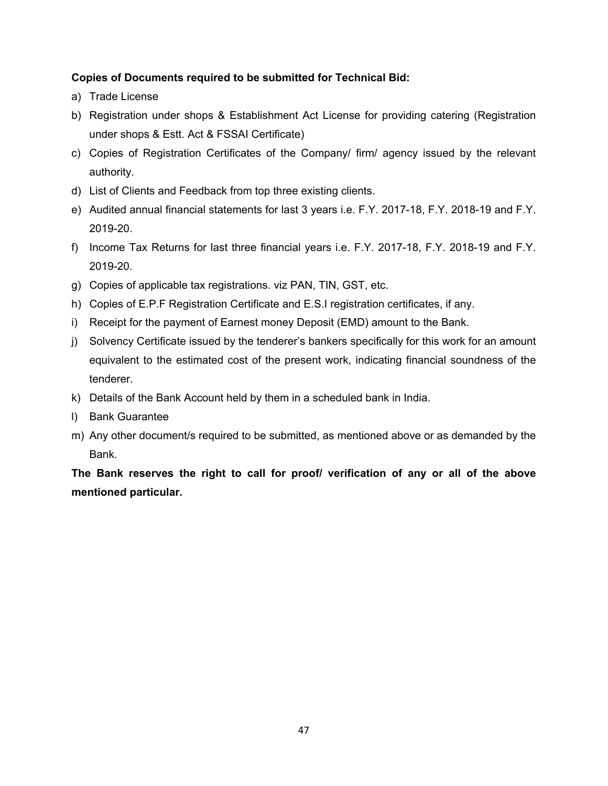### **Copies of Documents required to be submitted for Technical Bid:**

- a) Trade License
- b) Registration under shops & Establishment Act License for providing catering (Registration under shops & Estt. Act & FSSAI Certificate)
- c) Copies of Registration Certificates of the Company/ firm/ agency issued by the relevant authority.
- d) List of Clients and Feedback from top three existing clients.
- e) Audited annual financial statements for last 3 years i.e. F.Y. 2017-18, F.Y. 2018-19 and F.Y. 2019-20.
- f) Income Tax Returns for last three financial years i.e. F.Y. 2017-18, F.Y. 2018-19 and F.Y. 2019-20.
- g) Copies of applicable tax registrations. viz PAN, TIN, GST, etc.
- h) Copies of E.P.F Registration Certificate and E.S.I registration certificates, if any.
- i) Receipt for the payment of Earnest money Deposit (EMD) amount to the Bank.
- j) Solvency Certificate issued by the tenderer's bankers specifically for this work for an amount equivalent to the estimated cost of the present work, indicating financial soundness of the tenderer.
- k) Details of the Bank Account held by them in a scheduled bank in India.
- l) Bank Guarantee
- m) Any other document/s required to be submitted, as mentioned above or as demanded by the Bank.

**The Bank reserves the right to call for proof/ verification of any or all of the above mentioned particular.**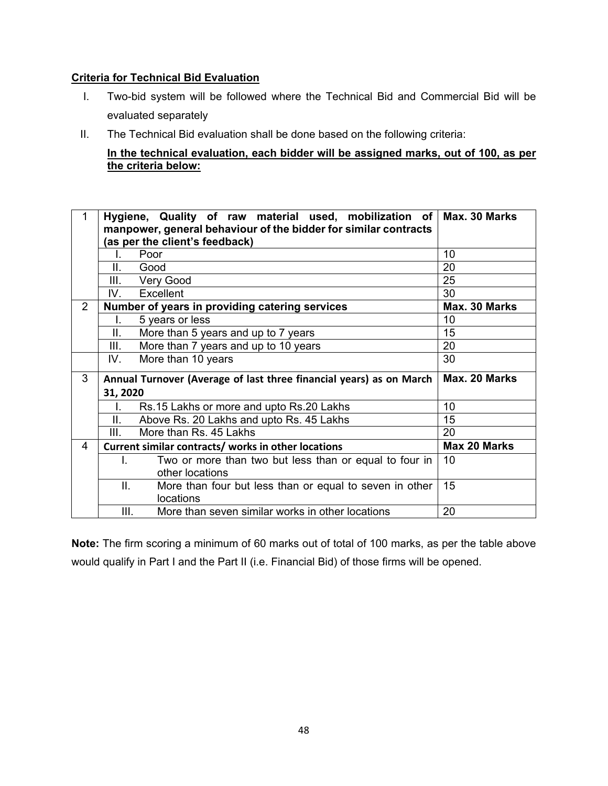#### **Criteria for Technical Bid Evaluation**

- I. Two-bid system will be followed where the Technical Bid and Commercial Bid will be evaluated separately
- II. The Technical Bid evaluation shall be done based on the following criteria:

**In the technical evaluation, each bidder will be assigned marks, out of 100, as per the criteria below:**

| 1              | Hygiene, Quality of raw material used, mobilization of<br>manpower, general behaviour of the bidder for similar contracts | Max. 30 Marks       |
|----------------|---------------------------------------------------------------------------------------------------------------------------|---------------------|
|                | (as per the client's feedback)                                                                                            |                     |
|                | Poor<br>I.                                                                                                                | 10                  |
|                | II.<br>Good                                                                                                               | 20                  |
|                | Ш.<br>Very Good                                                                                                           | 25                  |
|                | IV.<br>Excellent                                                                                                          | 30                  |
| $\overline{2}$ | Number of years in providing catering services                                                                            | Max. 30 Marks       |
|                | 5 years or less<br>L.                                                                                                     | 10                  |
|                | Ш.<br>More than 5 years and up to 7 years                                                                                 | 15                  |
|                | More than 7 years and up to 10 years<br>III.                                                                              | 20                  |
|                | More than 10 years<br>IV.                                                                                                 | 30                  |
| 3              | Annual Turnover (Average of last three financial years) as on March                                                       | Max. 20 Marks       |
|                | 31, 2020                                                                                                                  |                     |
|                | Rs.15 Lakhs or more and upto Rs.20 Lakhs                                                                                  | 10                  |
|                | II.<br>Above Rs. 20 Lakhs and upto Rs. 45 Lakhs                                                                           | 15                  |
|                | More than Rs. 45 Lakhs<br>III.                                                                                            | 20                  |
| $\overline{4}$ | Current similar contracts/ works in other locations                                                                       | <b>Max 20 Marks</b> |
|                | Two or more than two but less than or equal to four in<br>L.                                                              | 10                  |
|                | other locations                                                                                                           |                     |
|                | Ш.<br>More than four but less than or equal to seven in other                                                             | 15                  |
|                | locations                                                                                                                 |                     |
|                | III.<br>More than seven similar works in other locations                                                                  | 20                  |

**Note:** The firm scoring a minimum of 60 marks out of total of 100 marks, as per the table above would qualify in Part I and the Part II (i.e. Financial Bid) of those firms will be opened.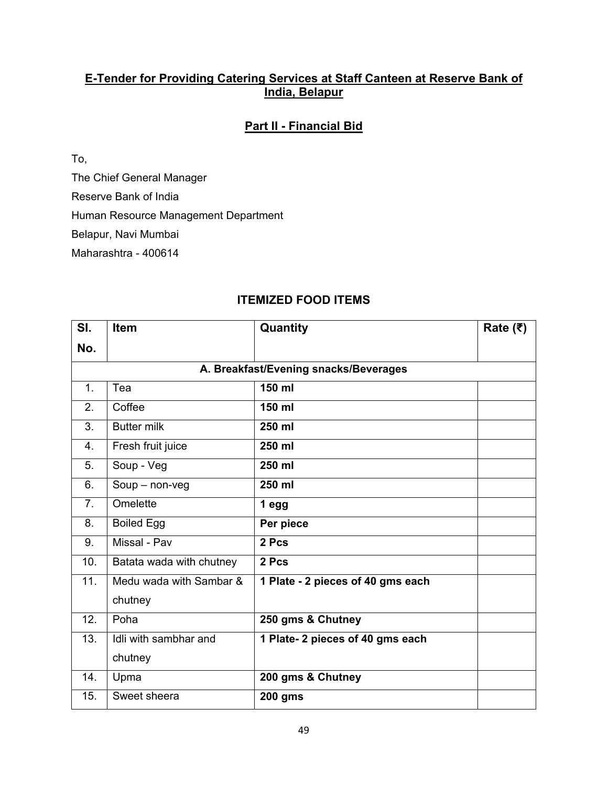### **E-Tender for Providing Catering Services at Staff Canteen at Reserve Bank of India, Belapur**

## **Part II - Financial Bid**

To,

The Chief General Manager

Reserve Bank of India

Human Resource Management Department

Belapur, Navi Mumbai

Maharashtra - 400614

| SI.            | <b>Item</b>              | Quantity                              | Rate $(₹)$ |
|----------------|--------------------------|---------------------------------------|------------|
| No.            |                          |                                       |            |
|                |                          | A. Breakfast/Evening snacks/Beverages |            |
| 1.             | Tea                      | 150 ml                                |            |
| 2.             | Coffee                   | 150 ml                                |            |
| 3.             | <b>Butter milk</b>       | 250 ml                                |            |
| 4.             | Fresh fruit juice        | 250 ml                                |            |
| 5.             | Soup - Veg               | 250 ml                                |            |
| 6.             | $Soup - non-veg$         | 250 ml                                |            |
| 7 <sub>1</sub> | Omelette                 | 1 egg                                 |            |
| 8.             | <b>Boiled Egg</b>        | Per piece                             |            |
| 9.             | Missal - Pav             | 2 Pcs                                 |            |
| 10.            | Batata wada with chutney | 2 Pcs                                 |            |
| 11.            | Medu wada with Sambar &  | 1 Plate - 2 pieces of 40 gms each     |            |
|                | chutney                  |                                       |            |
| 12.            | Poha                     | 250 gms & Chutney                     |            |
| 13.            | Idli with sambhar and    | 1 Plate- 2 pieces of 40 gms each      |            |
|                | chutney                  |                                       |            |
| 14.            | Upma                     | 200 gms & Chutney                     |            |
| 15.            | Sweet sheera             | <b>200 gms</b>                        |            |

## **ITEMIZED FOOD ITEMS**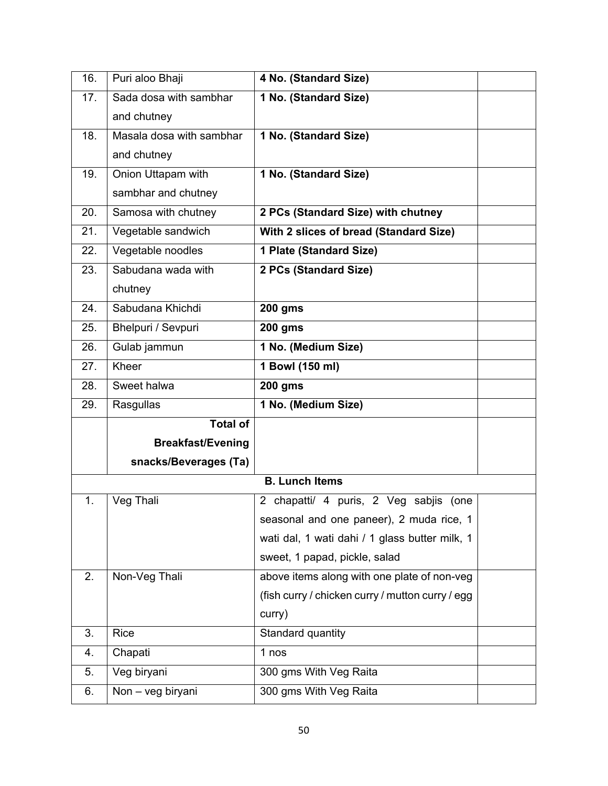| 16.                   | Puri aloo Bhaji           | 4 No. (Standard Size)                                   |  |
|-----------------------|---------------------------|---------------------------------------------------------|--|
| 17.                   | Sada dosa with sambhar    | 1 No. (Standard Size)                                   |  |
|                       | and chutney               |                                                         |  |
| 18.                   | Masala dosa with sambhar  | 1 No. (Standard Size)                                   |  |
|                       | and chutney               |                                                         |  |
| 19.                   | Onion Uttapam with        | 1 No. (Standard Size)                                   |  |
|                       | sambhar and chutney       |                                                         |  |
| 20.                   | Samosa with chutney       | 2 PCs (Standard Size) with chutney                      |  |
| 21.                   | Vegetable sandwich        | With 2 slices of bread (Standard Size)                  |  |
| 22.                   | Vegetable noodles         | 1 Plate (Standard Size)                                 |  |
| 23.                   | Sabudana wada with        | 2 PCs (Standard Size)                                   |  |
|                       | chutney                   |                                                         |  |
| 24.                   | Sabudana Khichdi          | <b>200 gms</b>                                          |  |
| 25.                   | <b>Bhelpuri / Sevpuri</b> | $200$ gms                                               |  |
| 26.                   | Gulab jammun              | 1 No. (Medium Size)                                     |  |
| 27.                   | Kheer                     | 1 Bowl (150 ml)                                         |  |
| 28.                   | Sweet halwa               | <b>200 gms</b>                                          |  |
| 29.                   | Rasgullas                 | 1 No. (Medium Size)                                     |  |
|                       | <b>Total of</b>           |                                                         |  |
|                       | <b>Breakfast/Evening</b>  |                                                         |  |
|                       | snacks/Beverages (Ta)     |                                                         |  |
| <b>B. Lunch Items</b> |                           |                                                         |  |
| 1.                    | Veg Thali                 | $\mathbf{2}$<br>chapatti/ 4 puris, 2 Veg sabjis<br>(one |  |
|                       |                           | seasonal and one paneer), 2 muda rice, 1                |  |
|                       |                           | wati dal, 1 wati dahi / 1 glass butter milk, 1          |  |
|                       |                           | sweet, 1 papad, pickle, salad                           |  |
| 2.                    | Non-Veg Thali             | above items along with one plate of non-veg             |  |
|                       |                           | (fish curry / chicken curry / mutton curry / egg        |  |
|                       |                           | curry)                                                  |  |
| 3.                    | Rice                      | Standard quantity                                       |  |
| 4.                    | Chapati                   | 1 nos                                                   |  |
| 5.                    | Veg biryani               | 300 gms With Veg Raita                                  |  |
| 6.                    | Non - veg biryani         | 300 gms With Veg Raita                                  |  |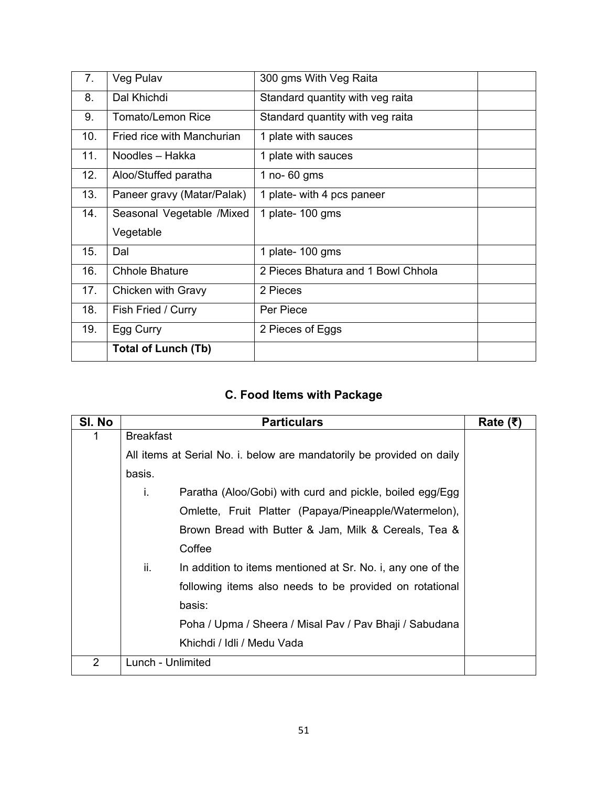| 7.  | Veg Pulav                  | 300 gms With Veg Raita             |  |
|-----|----------------------------|------------------------------------|--|
| 8.  | Dal Khichdi                | Standard quantity with veg raita   |  |
| 9.  | Tomato/Lemon Rice          | Standard quantity with veg raita   |  |
| 10. | Fried rice with Manchurian | 1 plate with sauces                |  |
| 11. | Noodles - Hakka            | 1 plate with sauces                |  |
| 12. | Aloo/Stuffed paratha       | 1 no- $60$ gms                     |  |
| 13. | Paneer gravy (Matar/Palak) | 1 plate- with 4 pcs paneer         |  |
| 14. | Seasonal Vegetable /Mixed  | 1 plate- 100 gms                   |  |
|     | Vegetable                  |                                    |  |
| 15. | Dal                        | 1 plate- 100 gms                   |  |
| 16. | <b>Chhole Bhature</b>      | 2 Pieces Bhatura and 1 Bowl Chhola |  |
| 17. | Chicken with Gravy         | 2 Pieces                           |  |
| 18. | Fish Fried / Curry         | Per Piece                          |  |
| 19. | Egg Curry                  | 2 Pieces of Eggs                   |  |
|     | <b>Total of Lunch (Tb)</b> |                                    |  |

# **C. Food Items with Package**

| SI. No         | <b>Particulars</b>                                                    | Rate $(\bar{z})$ |
|----------------|-----------------------------------------------------------------------|------------------|
|                | <b>Breakfast</b>                                                      |                  |
|                | All items at Serial No. i. below are mandatorily be provided on daily |                  |
|                | basis.                                                                |                  |
|                | Paratha (Aloo/Gobi) with curd and pickle, boiled egg/Egg<br>i.        |                  |
|                | Omlette, Fruit Platter (Papaya/Pineapple/Watermelon),                 |                  |
|                | Brown Bread with Butter & Jam, Milk & Cereals, Tea &                  |                  |
|                | Coffee                                                                |                  |
|                | ii.<br>In addition to items mentioned at Sr. No. i, any one of the    |                  |
|                | following items also needs to be provided on rotational               |                  |
|                | basis:                                                                |                  |
|                | Poha / Upma / Sheera / Misal Pav / Pav Bhaji / Sabudana               |                  |
|                | Khichdi / Idli / Medu Vada                                            |                  |
| $\overline{2}$ | Lunch - Unlimited                                                     |                  |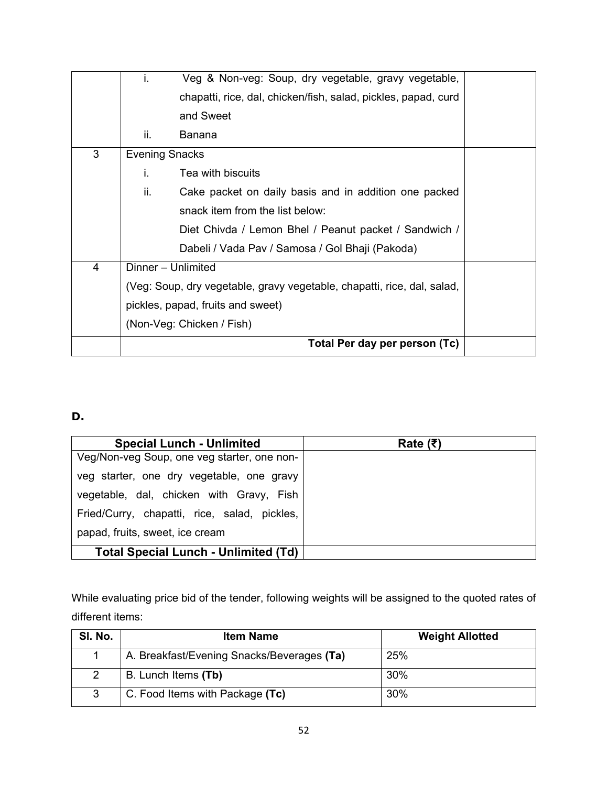|   | i.                                                                      | Veg & Non-veg: Soup, dry vegetable, gravy vegetable,           |  |  |
|---|-------------------------------------------------------------------------|----------------------------------------------------------------|--|--|
|   |                                                                         | chapatti, rice, dal, chicken/fish, salad, pickles, papad, curd |  |  |
|   |                                                                         | and Sweet                                                      |  |  |
|   | ii.                                                                     | Banana                                                         |  |  |
| 3 | <b>Evening Snacks</b>                                                   |                                                                |  |  |
|   | İ.                                                                      | Tea with biscuits                                              |  |  |
|   | ii.                                                                     | Cake packet on daily basis and in addition one packed          |  |  |
|   |                                                                         | snack item from the list below:                                |  |  |
|   |                                                                         | Diet Chivda / Lemon Bhel / Peanut packet / Sandwich /          |  |  |
|   |                                                                         | Dabeli / Vada Pav / Samosa / Gol Bhaji (Pakoda)                |  |  |
| 4 | Dinner - Unlimited                                                      |                                                                |  |  |
|   | (Veg: Soup, dry vegetable, gravy vegetable, chapatti, rice, dal, salad, |                                                                |  |  |
|   | pickles, papad, fruits and sweet)                                       |                                                                |  |  |
|   |                                                                         | (Non-Veg: Chicken / Fish)                                      |  |  |
|   |                                                                         | Total Per day per person (Tc)                                  |  |  |

## **D.**

| <b>Special Lunch - Unlimited</b>             | Rate $(₹)$ |
|----------------------------------------------|------------|
| Veg/Non-veg Soup, one veg starter, one non-  |            |
| veg starter, one dry vegetable, one gravy    |            |
| vegetable, dal, chicken with Gravy, Fish     |            |
| Fried/Curry, chapatti, rice, salad, pickles, |            |
| papad, fruits, sweet, ice cream              |            |
| <b>Total Special Lunch - Unlimited (Td)</b>  |            |

While evaluating price bid of the tender, following weights will be assigned to the quoted rates of different items:

| SI. No.       | <b>Item Name</b>                           | <b>Weight Allotted</b> |
|---------------|--------------------------------------------|------------------------|
|               | A. Breakfast/Evening Snacks/Beverages (Ta) | 25%                    |
| $\mathcal{D}$ | B. Lunch Items (Tb)                        | 30%                    |
| 3             | C. Food Items with Package (Tc)            | 30%                    |